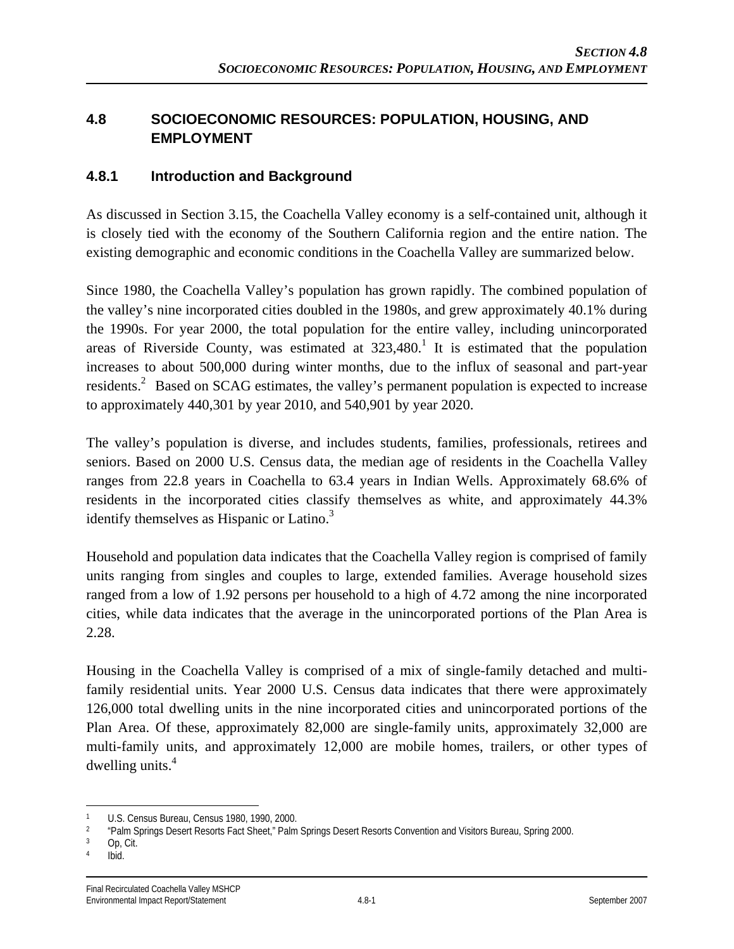## **4.8 SOCIOECONOMIC RESOURCES: POPULATION, HOUSING, AND EMPLOYMENT**

#### **4.8.1 Introduction and Background**

As discussed in Section 3.15, the Coachella Valley economy is a self-contained unit, although it is closely tied with the economy of the Southern California region and the entire nation. The existing demographic and economic conditions in the Coachella Valley are summarized below.

Since 1980, the Coachella Valley's population has grown rapidly. The combined population of the valley's nine incorporated cities doubled in the 1980s, and grew approximately 40.1% during the 1990s. For year 2000, the total population for the entire valley, including unincorporated areas of Riverside County, was estimated at  $323,480$ .<sup>1</sup> It is estimated that the population increases to about 500,000 during winter months, due to the influx of seasonal and part-year residents.<sup>2</sup> Based on SCAG estimates, the valley's permanent population is expected to increase to approximately 440,301 by year 2010, and 540,901 by year 2020.

The valley's population is diverse, and includes students, families, professionals, retirees and seniors. Based on 2000 U.S. Census data, the median age of residents in the Coachella Valley ranges from 22.8 years in Coachella to 63.4 years in Indian Wells. Approximately 68.6% of residents in the incorporated cities classify themselves as white, and approximately 44.3% identify themselves as Hispanic or Latino.<sup>3</sup>

Household and population data indicates that the Coachella Valley region is comprised of family units ranging from singles and couples to large, extended families. Average household sizes ranged from a low of 1.92 persons per household to a high of 4.72 among the nine incorporated cities, while data indicates that the average in the unincorporated portions of the Plan Area is 2.28.

Housing in the Coachella Valley is comprised of a mix of single-family detached and multifamily residential units. Year 2000 U.S. Census data indicates that there were approximately 126,000 total dwelling units in the nine incorporated cities and unincorporated portions of the Plan Area. Of these, approximately 82,000 are single-family units, approximately 32,000 are multi-family units, and approximately 12,000 are mobile homes, trailers, or other types of dwelling units.<sup>4</sup>

 $\overline{a}$ 

<sup>1</sup> U.S. Census Bureau, Census 1980, 1990, 2000.<br>2 Epim Springs Docert Bosetts Fact Shoot " Dalm

<sup>&</sup>lt;sup>2</sup> "Palm Springs Desert Resorts Fact Sheet," Palm Springs Desert Resorts Convention and Visitors Bureau, Spring 2000.

Op, Cit.

<sup>4</sup> Ibid.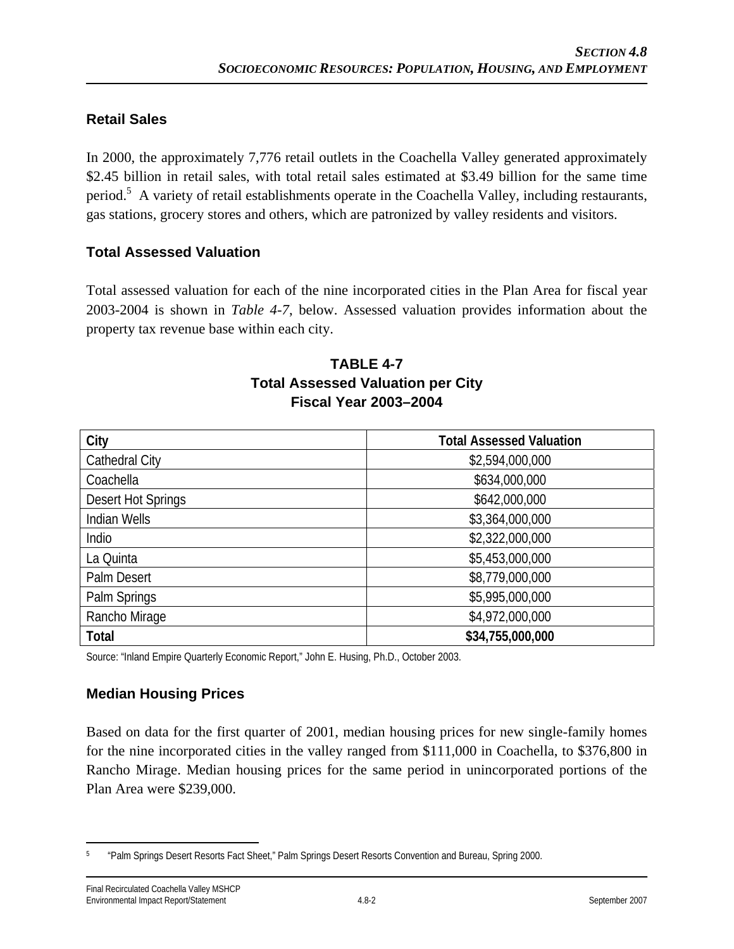### **Retail Sales**

In 2000, the approximately 7,776 retail outlets in the Coachella Valley generated approximately \$2.45 billion in retail sales, with total retail sales estimated at \$3.49 billion for the same time period.<sup>5</sup> A variety of retail establishments operate in the Coachella Valley, including restaurants, gas stations, grocery stores and others, which are patronized by valley residents and visitors.

#### **Total Assessed Valuation**

Total assessed valuation for each of the nine incorporated cities in the Plan Area for fiscal year 2003-2004 is shown in *Table 4-7*, below. Assessed valuation provides information about the property tax revenue base within each city.

### **TABLE 4-7 Total Assessed Valuation per City Fiscal Year 2003–2004**

| City               | <b>Total Assessed Valuation</b> |
|--------------------|---------------------------------|
| Cathedral City     | \$2,594,000,000                 |
| Coachella          | \$634,000,000                   |
| Desert Hot Springs | \$642,000,000                   |
| Indian Wells       | \$3,364,000,000                 |
| Indio              | \$2,322,000,000                 |
| La Quinta          | \$5,453,000,000                 |
| Palm Desert        | \$8,779,000,000                 |
| Palm Springs       | \$5,995,000,000                 |
| Rancho Mirage      | \$4,972,000,000                 |
| Total              | \$34,755,000,000                |

Source: "Inland Empire Quarterly Economic Report," John E. Husing, Ph.D., October 2003.

### **Median Housing Prices**

Based on data for the first quarter of 2001, median housing prices for new single-family homes for the nine incorporated cities in the valley ranged from \$111,000 in Coachella, to \$376,800 in Rancho Mirage. Median housing prices for the same period in unincorporated portions of the Plan Area were \$239,000.

<sup>1</sup> 5 "Palm Springs Desert Resorts Fact Sheet," Palm Springs Desert Resorts Convention and Bureau, Spring 2000.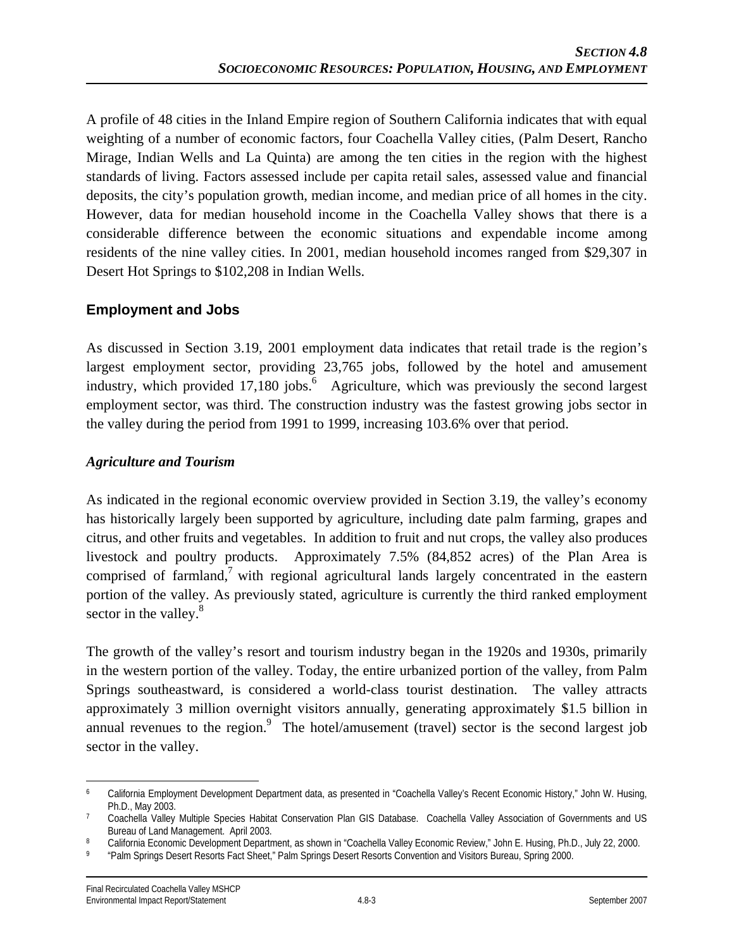A profile of 48 cities in the Inland Empire region of Southern California indicates that with equal weighting of a number of economic factors, four Coachella Valley cities, (Palm Desert, Rancho Mirage, Indian Wells and La Quinta) are among the ten cities in the region with the highest standards of living. Factors assessed include per capita retail sales, assessed value and financial deposits, the city's population growth, median income, and median price of all homes in the city. However, data for median household income in the Coachella Valley shows that there is a considerable difference between the economic situations and expendable income among residents of the nine valley cities. In 2001, median household incomes ranged from \$29,307 in Desert Hot Springs to \$102,208 in Indian Wells.

## **Employment and Jobs**

As discussed in Section 3.19, 2001 employment data indicates that retail trade is the region's largest employment sector, providing 23,765 jobs, followed by the hotel and amusement industry, which provided 17,180 jobs.  $\frac{6}{5}$  Agriculture, which was previously the second largest employment sector, was third. The construction industry was the fastest growing jobs sector in the valley during the period from 1991 to 1999, increasing 103.6% over that period.

#### *Agriculture and Tourism*

As indicated in the regional economic overview provided in Section 3.19, the valley's economy has historically largely been supported by agriculture, including date palm farming, grapes and citrus, and other fruits and vegetables. In addition to fruit and nut crops, the valley also produces livestock and poultry products. Approximately 7.5% (84,852 acres) of the Plan Area is comprised of farmland,<sup>7</sup> with regional agricultural lands largely concentrated in the eastern portion of the valley. As previously stated, agriculture is currently the third ranked employment sector in the valley.<sup>8</sup>

The growth of the valley's resort and tourism industry began in the 1920s and 1930s, primarily in the western portion of the valley. Today, the entire urbanized portion of the valley, from Palm Springs southeastward, is considered a world-class tourist destination. The valley attracts approximately 3 million overnight visitors annually, generating approximately \$1.5 billion in annual revenues to the region.<sup>9</sup> The hotel/amusement (travel) sector is the second largest job sector in the valley.

 $\overline{a}$ 6 California Employment Development Department data, as presented in "Coachella Valley's Recent Economic History," John W. Husing,

Ph.D., May 2003.<br>Coachella Valley Multiple Species Habitat Conservation Plan GIS Database. Coachella Valley Association of Governments and US<br>Bureau of Land Management. April 2003.

<sup>&</sup>lt;sup>8</sup> California Economic Development Department, as shown in "Coachella Valley Economic Review," John E. Husing, Ph.D., July 22, 2000.<br><sup>9</sup> "Palm Springs Desert Resorts Fact Sheet," Palm Springs Desert Resorts Convention and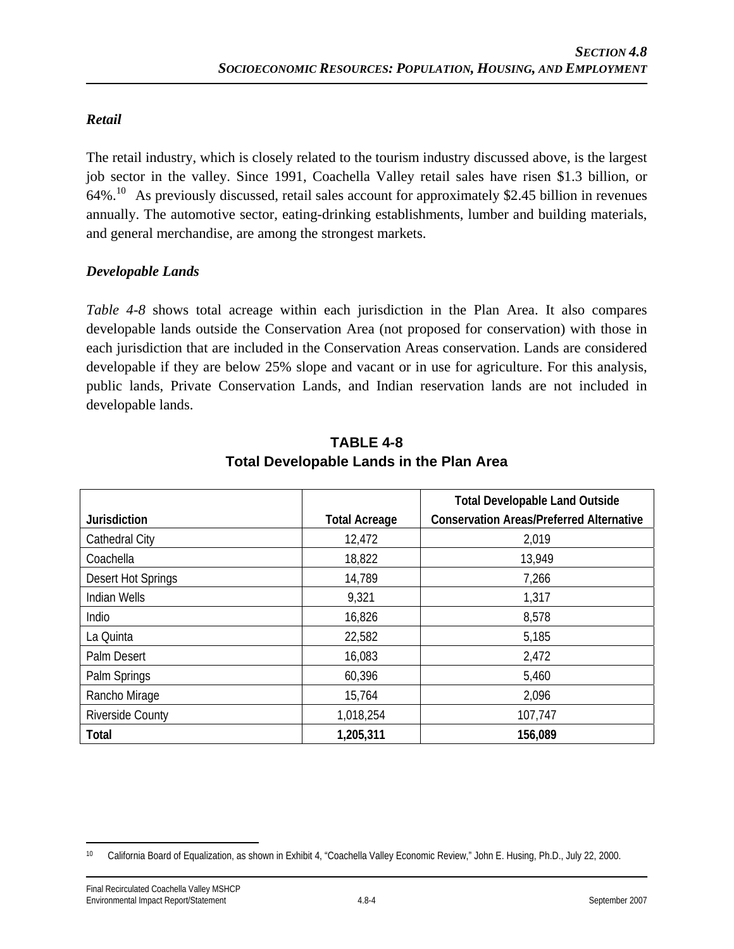#### *Retail*

The retail industry, which is closely related to the tourism industry discussed above, is the largest job sector in the valley. Since 1991, Coachella Valley retail sales have risen \$1.3 billion, or  $64\%$ <sup>10</sup> As previously discussed, retail sales account for approximately \$2.45 billion in revenues annually. The automotive sector, eating-drinking establishments, lumber and building materials, and general merchandise, are among the strongest markets.

#### *Developable Lands*

*Table 4-8* shows total acreage within each jurisdiction in the Plan Area. It also compares developable lands outside the Conservation Area (not proposed for conservation) with those in each jurisdiction that are included in the Conservation Areas conservation. Lands are considered developable if they are below 25% slope and vacant or in use for agriculture. For this analysis, public lands, Private Conservation Lands, and Indian reservation lands are not included in developable lands.

|                         |                      | <b>Total Developable Land Outside</b>           |
|-------------------------|----------------------|-------------------------------------------------|
| Jurisdiction            | <b>Total Acreage</b> | <b>Conservation Areas/Preferred Alternative</b> |
| <b>Cathedral City</b>   | 12,472               | 2,019                                           |
| Coachella               | 18,822               | 13,949                                          |
| Desert Hot Springs      | 14,789               | 7,266                                           |
| <b>Indian Wells</b>     | 9,321                | 1,317                                           |
| Indio                   | 16,826               | 8,578                                           |
| La Quinta               | 22,582               | 5,185                                           |
| Palm Desert             | 16,083               | 2,472                                           |
| Palm Springs            | 60,396               | 5,460                                           |
| Rancho Mirage           | 15,764               | 2,096                                           |
| <b>Riverside County</b> | 1,018,254            | 107,747                                         |
| Total                   | 1,205,311            | 156,089                                         |

#### **TABLE 4-8 Total Developable Lands in the Plan Area**

 $\overline{a}$ 10 California Board of Equalization, as shown in Exhibit 4, "Coachella Valley Economic Review," John E. Husing, Ph.D., July 22, 2000.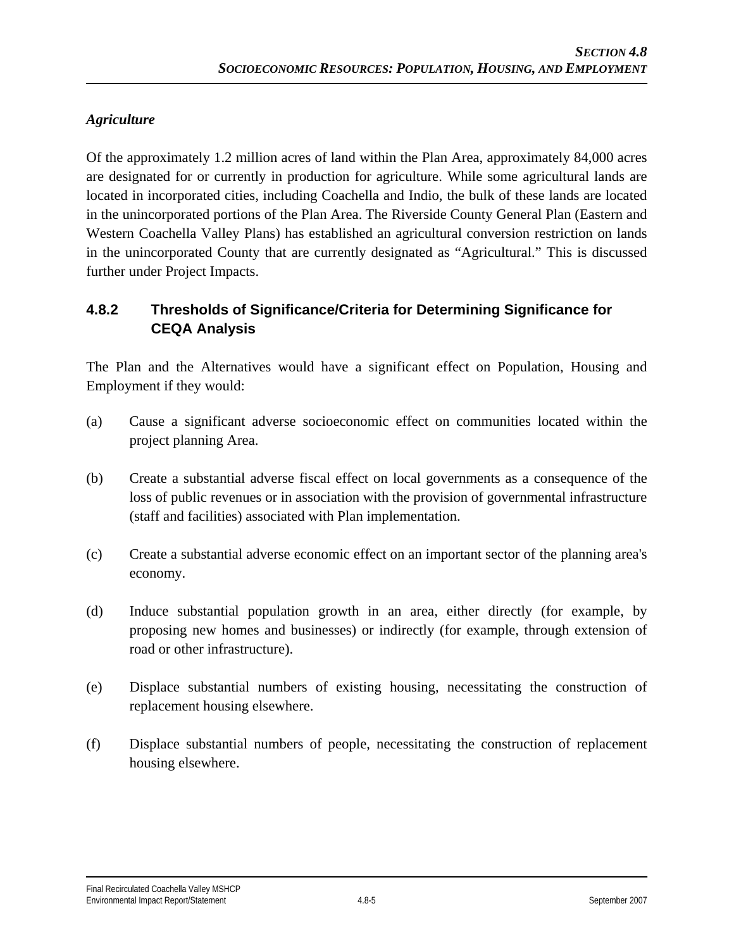## *Agriculture*

Of the approximately 1.2 million acres of land within the Plan Area, approximately 84,000 acres are designated for or currently in production for agriculture. While some agricultural lands are located in incorporated cities, including Coachella and Indio, the bulk of these lands are located in the unincorporated portions of the Plan Area. The Riverside County General Plan (Eastern and Western Coachella Valley Plans) has established an agricultural conversion restriction on lands in the unincorporated County that are currently designated as "Agricultural." This is discussed further under Project Impacts.

## **4.8.2 Thresholds of Significance/Criteria for Determining Significance for CEQA Analysis**

The Plan and the Alternatives would have a significant effect on Population, Housing and Employment if they would:

- (a) Cause a significant adverse socioeconomic effect on communities located within the project planning Area.
- (b) Create a substantial adverse fiscal effect on local governments as a consequence of the loss of public revenues or in association with the provision of governmental infrastructure (staff and facilities) associated with Plan implementation.
- (c) Create a substantial adverse economic effect on an important sector of the planning area's economy.
- (d) Induce substantial population growth in an area, either directly (for example, by proposing new homes and businesses) or indirectly (for example, through extension of road or other infrastructure).
- (e) Displace substantial numbers of existing housing, necessitating the construction of replacement housing elsewhere.
- (f) Displace substantial numbers of people, necessitating the construction of replacement housing elsewhere.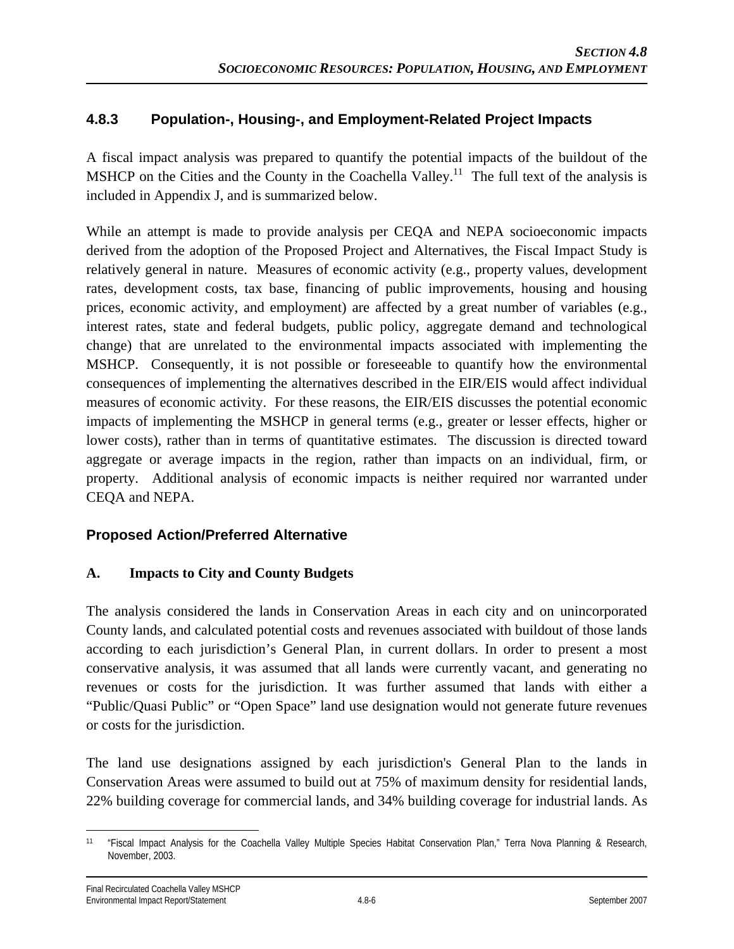### **4.8.3 Population-, Housing-, and Employment-Related Project Impacts**

A fiscal impact analysis was prepared to quantify the potential impacts of the buildout of the MSHCP on the Cities and the County in the Coachella Valley.<sup>11</sup> The full text of the analysis is included in Appendix J, and is summarized below.

While an attempt is made to provide analysis per CEQA and NEPA socioeconomic impacts derived from the adoption of the Proposed Project and Alternatives, the Fiscal Impact Study is relatively general in nature. Measures of economic activity (e.g., property values, development rates, development costs, tax base, financing of public improvements, housing and housing prices, economic activity, and employment) are affected by a great number of variables (e.g., interest rates, state and federal budgets, public policy, aggregate demand and technological change) that are unrelated to the environmental impacts associated with implementing the MSHCP. Consequently, it is not possible or foreseeable to quantify how the environmental consequences of implementing the alternatives described in the EIR/EIS would affect individual measures of economic activity. For these reasons, the EIR/EIS discusses the potential economic impacts of implementing the MSHCP in general terms (e.g., greater or lesser effects, higher or lower costs), rather than in terms of quantitative estimates. The discussion is directed toward aggregate or average impacts in the region, rather than impacts on an individual, firm, or property. Additional analysis of economic impacts is neither required nor warranted under CEQA and NEPA.

#### **Proposed Action/Preferred Alternative**

#### **A. Impacts to City and County Budgets**

The analysis considered the lands in Conservation Areas in each city and on unincorporated County lands, and calculated potential costs and revenues associated with buildout of those lands according to each jurisdiction's General Plan, in current dollars. In order to present a most conservative analysis, it was assumed that all lands were currently vacant, and generating no revenues or costs for the jurisdiction. It was further assumed that lands with either a "Public/Quasi Public" or "Open Space" land use designation would not generate future revenues or costs for the jurisdiction.

The land use designations assigned by each jurisdiction's General Plan to the lands in Conservation Areas were assumed to build out at 75% of maximum density for residential lands, 22% building coverage for commercial lands, and 34% building coverage for industrial lands. As

 $\overline{a}$ 11 "Fiscal Impact Analysis for the Coachella Valley Multiple Species Habitat Conservation Plan," Terra Nova Planning & Research, November, 2003.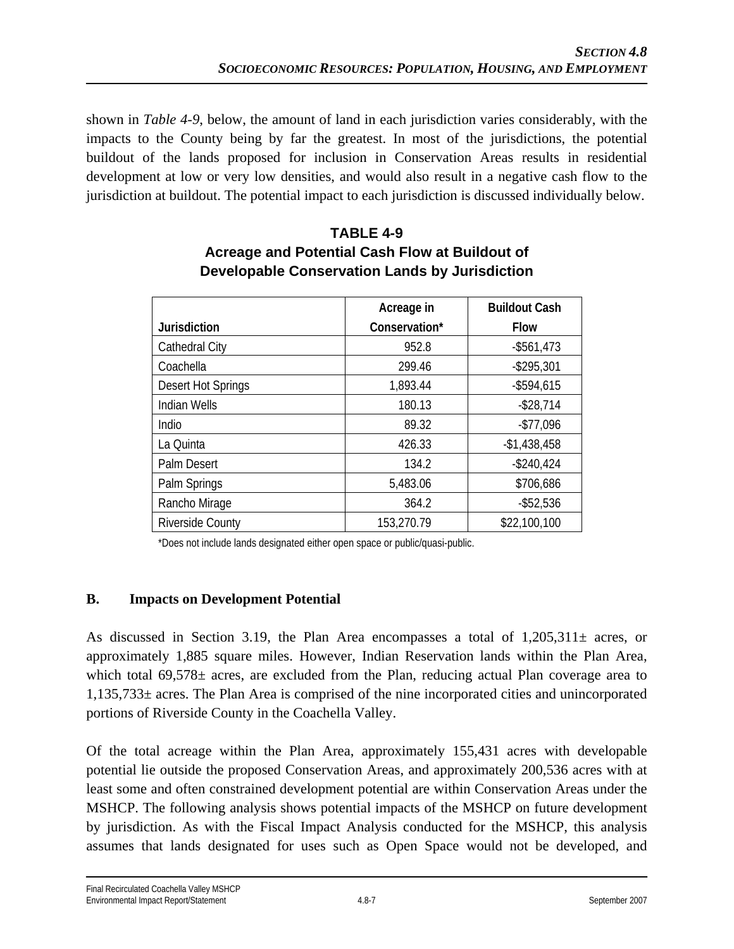shown in *Table 4-9*, below, the amount of land in each jurisdiction varies considerably, with the impacts to the County being by far the greatest. In most of the jurisdictions, the potential buildout of the lands proposed for inclusion in Conservation Areas results in residential development at low or very low densities, and would also result in a negative cash flow to the jurisdiction at buildout. The potential impact to each jurisdiction is discussed individually below.

|                         | Acreage in    | <b>Buildout Cash</b> |
|-------------------------|---------------|----------------------|
| <b>Jurisdiction</b>     | Conservation* | <b>Flow</b>          |
| Cathedral City          | 952.8         | $-$ \$561,473        |
| Coachella               | 299.46        | $-$ \$295,301        |
| Desert Hot Springs      | 1,893.44      | $-$ \$594,615        |
| Indian Wells            | 180.13        | $-$ \$28,714         |
| Indio                   | 89.32         | $-$77,096$           |
| La Quinta               | 426.33        | $-$1,438,458$        |
| Palm Desert             | 134.2         | $-$240,424$          |
| Palm Springs            | 5,483.06      | \$706,686            |
| Rancho Mirage           | 364.2         | $-$ \$52,536         |
| <b>Riverside County</b> | 153,270.79    | \$22,100,100         |

# **TABLE 4-9 Acreage and Potential Cash Flow at Buildout of Developable Conservation Lands by Jurisdiction**

\*Does not include lands designated either open space or public/quasi-public.

### **B. Impacts on Development Potential**

As discussed in Section 3.19, the Plan Area encompasses a total of  $1,205,311\pm$  acres, or approximately 1,885 square miles. However, Indian Reservation lands within the Plan Area, which total  $69,578\pm$  acres, are excluded from the Plan, reducing actual Plan coverage area to 1,135,733± acres. The Plan Area is comprised of the nine incorporated cities and unincorporated portions of Riverside County in the Coachella Valley.

Of the total acreage within the Plan Area, approximately 155,431 acres with developable potential lie outside the proposed Conservation Areas, and approximately 200,536 acres with at least some and often constrained development potential are within Conservation Areas under the MSHCP. The following analysis shows potential impacts of the MSHCP on future development by jurisdiction. As with the Fiscal Impact Analysis conducted for the MSHCP, this analysis assumes that lands designated for uses such as Open Space would not be developed, and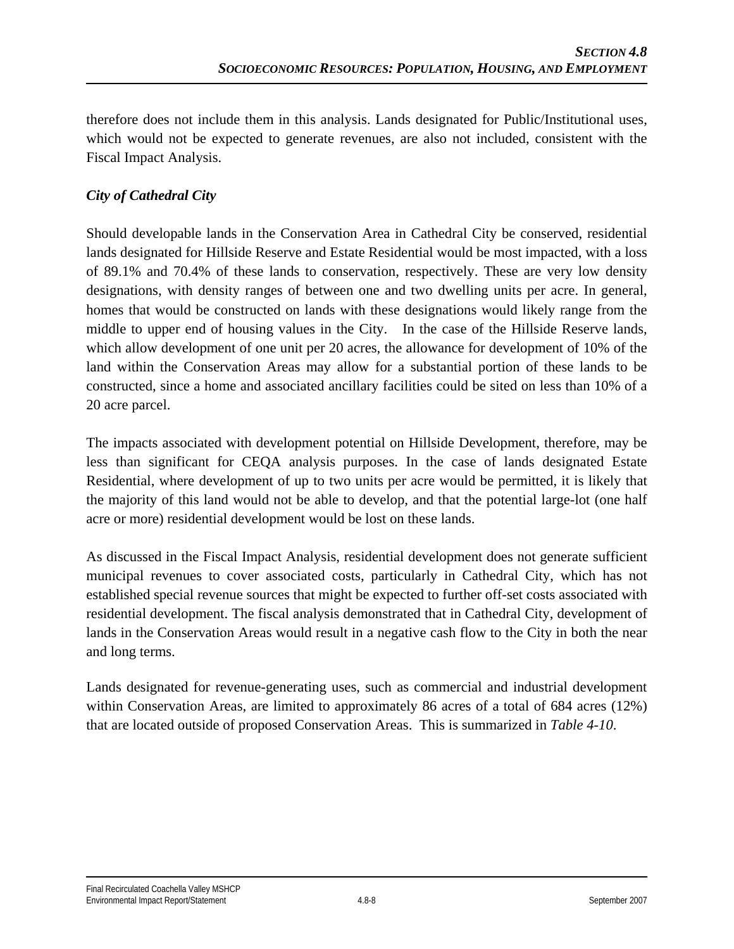therefore does not include them in this analysis. Lands designated for Public/Institutional uses, which would not be expected to generate revenues, are also not included, consistent with the Fiscal Impact Analysis.

## *City of Cathedral City*

Should developable lands in the Conservation Area in Cathedral City be conserved, residential lands designated for Hillside Reserve and Estate Residential would be most impacted, with a loss of 89.1% and 70.4% of these lands to conservation, respectively. These are very low density designations, with density ranges of between one and two dwelling units per acre. In general, homes that would be constructed on lands with these designations would likely range from the middle to upper end of housing values in the City. In the case of the Hillside Reserve lands, which allow development of one unit per 20 acres, the allowance for development of 10% of the land within the Conservation Areas may allow for a substantial portion of these lands to be constructed, since a home and associated ancillary facilities could be sited on less than 10% of a 20 acre parcel.

The impacts associated with development potential on Hillside Development, therefore, may be less than significant for CEQA analysis purposes. In the case of lands designated Estate Residential, where development of up to two units per acre would be permitted, it is likely that the majority of this land would not be able to develop, and that the potential large-lot (one half acre or more) residential development would be lost on these lands.

As discussed in the Fiscal Impact Analysis, residential development does not generate sufficient municipal revenues to cover associated costs, particularly in Cathedral City, which has not established special revenue sources that might be expected to further off-set costs associated with residential development. The fiscal analysis demonstrated that in Cathedral City, development of lands in the Conservation Areas would result in a negative cash flow to the City in both the near and long terms.

Lands designated for revenue-generating uses, such as commercial and industrial development within Conservation Areas, are limited to approximately 86 acres of a total of 684 acres (12%) that are located outside of proposed Conservation Areas. This is summarized in *Table 4-10*.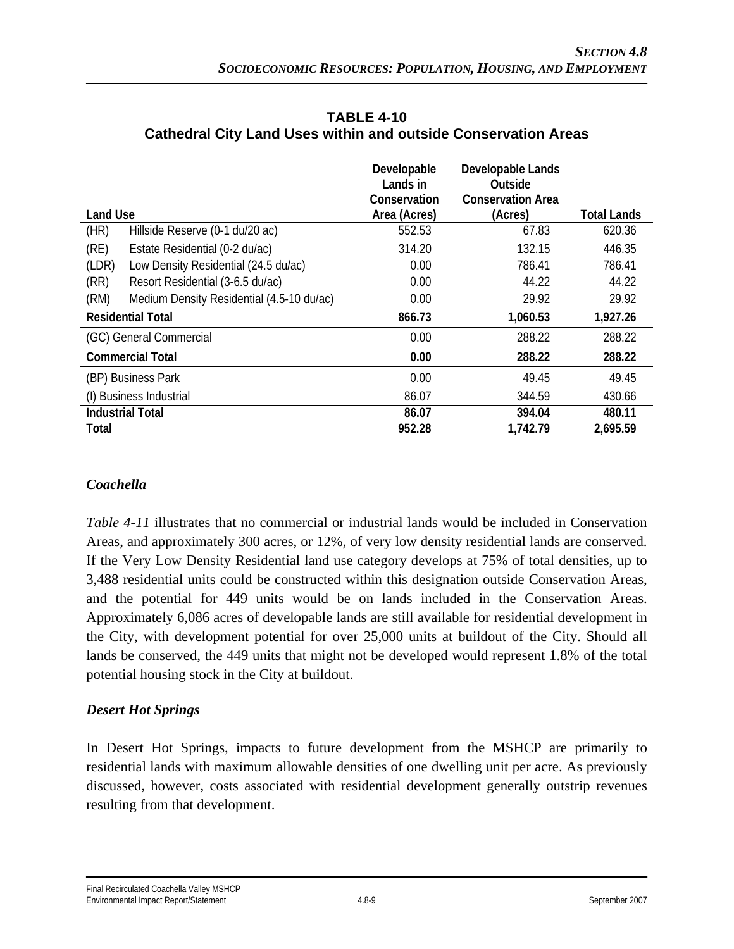|                 |                                           | Developable<br>Lands in | Developable Lands<br>Outside |             |
|-----------------|-------------------------------------------|-------------------------|------------------------------|-------------|
|                 |                                           | Conservation            | <b>Conservation Area</b>     |             |
| <b>Land Use</b> |                                           | Area (Acres)            | (Acres)                      | Total Lands |
| (HR)            | Hillside Reserve (0-1 du/20 ac)           | 552.53                  | 67.83                        | 620.36      |
| (RE)            | Estate Residential (0-2 du/ac)            | 314.20                  | 132.15                       | 446.35      |
| (LDR)           | Low Density Residential (24.5 du/ac)      | 0.00                    | 786.41                       | 786.41      |
| (RR)            | Resort Residential (3-6.5 du/ac)          | 0.00                    | 44.22                        | 44.22       |
| (RM)            | Medium Density Residential (4.5-10 du/ac) | 0.00                    | 29.92                        | 29.92       |
|                 | <b>Residential Total</b>                  | 866.73                  | 1,060.53                     | 1,927.26    |
|                 | (GC) General Commercial                   | 0.00                    | 288.22                       | 288.22      |
|                 | <b>Commercial Total</b>                   | 0.00                    | 288.22                       | 288.22      |
|                 | (BP) Business Park                        | 0.00                    | 49.45                        | 49.45       |
|                 | (I) Business Industrial                   | 86.07                   | 344.59                       | 430.66      |
|                 | <b>Industrial Total</b>                   | 86.07                   | 394.04                       | 480.11      |
| Total           |                                           | 952.28                  | 1,742.79                     | 2,695.59    |

#### **TABLE 4-10 Cathedral City Land Uses within and outside Conservation Areas**

## *Coachella*

*Table 4-11* illustrates that no commercial or industrial lands would be included in Conservation Areas, and approximately 300 acres, or 12%, of very low density residential lands are conserved. If the Very Low Density Residential land use category develops at 75% of total densities, up to 3,488 residential units could be constructed within this designation outside Conservation Areas, and the potential for 449 units would be on lands included in the Conservation Areas. Approximately 6,086 acres of developable lands are still available for residential development in the City, with development potential for over 25,000 units at buildout of the City. Should all lands be conserved, the 449 units that might not be developed would represent 1.8% of the total potential housing stock in the City at buildout.

### *Desert Hot Springs*

In Desert Hot Springs, impacts to future development from the MSHCP are primarily to residential lands with maximum allowable densities of one dwelling unit per acre. As previously discussed, however, costs associated with residential development generally outstrip revenues resulting from that development.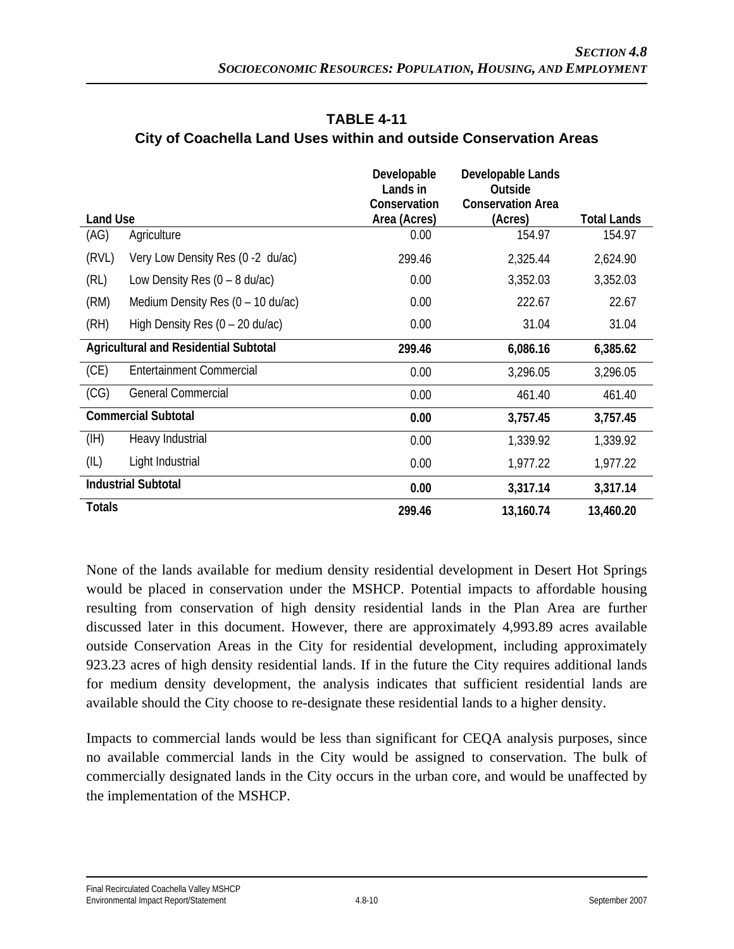|                 |                                              | Developable<br>Lands in      | Developable Lands<br>Outside        |                    |
|-----------------|----------------------------------------------|------------------------------|-------------------------------------|--------------------|
| <b>Land Use</b> |                                              | Conservation<br>Area (Acres) | <b>Conservation Area</b><br>(Acres) | <b>Total Lands</b> |
| (AG)            | Agriculture                                  | 0.00                         | 154.97                              | 154.97             |
| (RVL)           | Very Low Density Res (0 -2 du/ac)            | 299.46                       | 2,325.44                            | 2,624.90           |
| (RL)            | Low Density Res $(0 - 8 \text{ du/ac})$      | 0.00                         | 3,352.03                            | 3,352.03           |
| (RM)            | Medium Density Res $(0 - 10 \text{ du/ac})$  | 0.00                         | 222.67                              | 22.67              |
| (RH)            | High Density Res $(0 - 20 \text{ du/ac})$    | 0.00                         | 31.04                               | 31.04              |
|                 | <b>Agricultural and Residential Subtotal</b> | 299.46                       | 6,086.16                            | 6,385.62           |
| (CE)            | Entertainment Commercial                     | 0.00                         | 3,296.05                            | 3,296.05           |
| (CG)            | <b>General Commercial</b>                    | 0.00                         | 461.40                              | 461.40             |
|                 | <b>Commercial Subtotal</b>                   | 0.00                         | 3,757.45                            | 3,757.45           |
| (HH)            | Heavy Industrial                             | 0.00                         | 1,339.92                            | 1,339.92           |
| (IL)            | Light Industrial                             | 0.00                         | 1,977.22                            | 1,977.22           |
|                 | <b>Industrial Subtotal</b>                   | 0.00                         | 3,317.14                            | 3,317.14           |
| <b>Totals</b>   |                                              | 299.46                       | 13,160.74                           | 13,460.20          |

#### **TABLE 4-11 City of Coachella Land Uses within and outside Conservation Areas**

None of the lands available for medium density residential development in Desert Hot Springs would be placed in conservation under the MSHCP. Potential impacts to affordable housing resulting from conservation of high density residential lands in the Plan Area are further discussed later in this document. However, there are approximately 4,993.89 acres available outside Conservation Areas in the City for residential development, including approximately 923.23 acres of high density residential lands. If in the future the City requires additional lands for medium density development, the analysis indicates that sufficient residential lands are available should the City choose to re-designate these residential lands to a higher density.

Impacts to commercial lands would be less than significant for CEQA analysis purposes, since no available commercial lands in the City would be assigned to conservation. The bulk of commercially designated lands in the City occurs in the urban core, and would be unaffected by the implementation of the MSHCP.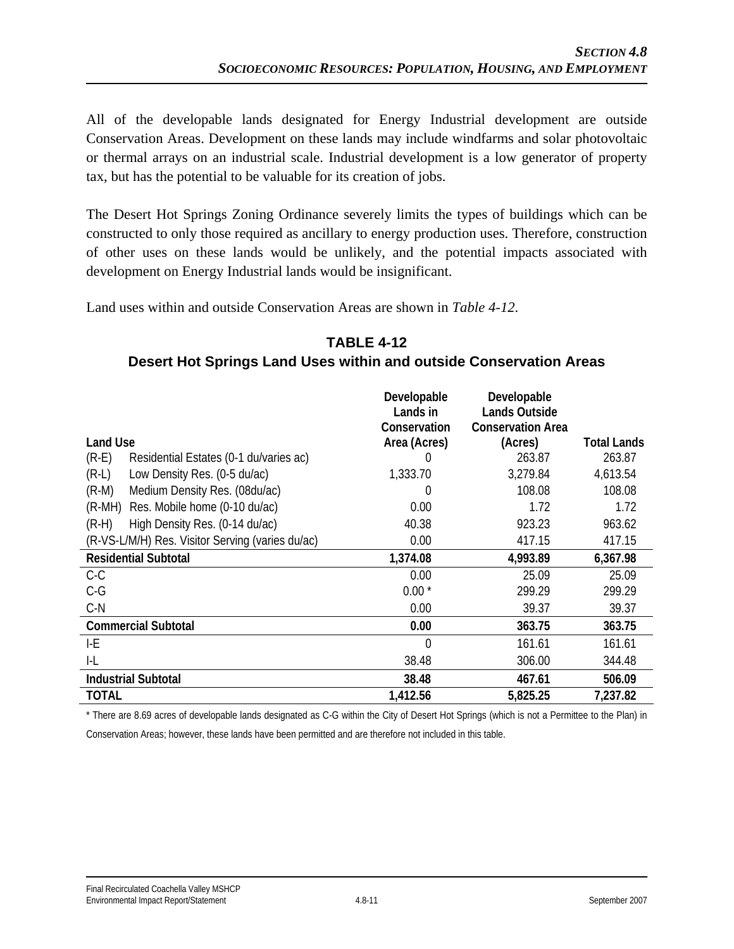All of the developable lands designated for Energy Industrial development are outside Conservation Areas. Development on these lands may include windfarms and solar photovoltaic or thermal arrays on an industrial scale. Industrial development is a low generator of property tax, but has the potential to be valuable for its creation of jobs.

The Desert Hot Springs Zoning Ordinance severely limits the types of buildings which can be constructed to only those required as ancillary to energy production uses. Therefore, construction of other uses on these lands would be unlikely, and the potential impacts associated with development on Energy Industrial lands would be insignificant.

Land uses within and outside Conservation Areas are shown in *Table 4-12*.

### **TABLE 4-12 Desert Hot Springs Land Uses within and outside Conservation Areas**

|                                                   | Developable<br>Lands in | Developable<br><b>Lands Outside</b> |                    |
|---------------------------------------------------|-------------------------|-------------------------------------|--------------------|
|                                                   | Conservation            | <b>Conservation Area</b>            |                    |
| <b>Land Use</b>                                   | Area (Acres)            | (Acres)                             | <b>Total Lands</b> |
| $(R-E)$<br>Residential Estates (0-1 du/varies ac) | $\left( \right)$        | 263.87                              | 263.87             |
| $(R-L)$<br>Low Density Res. (0-5 du/ac)           | 1,333.70                | 3,279.84                            | 4,613.54           |
| Medium Density Res. (08du/ac)<br>$(R-M)$          | 0                       | 108.08                              | 108.08             |
| Res. Mobile home (0-10 du/ac)<br>$(R-MH)$         | 0.00                    | 1.72                                | 1.72               |
| High Density Res. (0-14 du/ac)<br>$(R-H)$         | 40.38                   | 923.23                              | 963.62             |
| (R-VS-L/M/H) Res. Visitor Serving (varies du/ac)  | 0.00                    | 417.15                              | 417.15             |
| <b>Residential Subtotal</b>                       | 1,374.08                | 4,993.89                            | 6,367.98           |
| $C-C$                                             | 0.00                    | 25.09                               | 25.09              |
| $C-G$                                             | $0.00*$                 | 299.29                              | 299.29             |
| $C-N$                                             | 0.00                    | 39.37                               | 39.37              |
| <b>Commercial Subtotal</b>                        | 0.00                    | 363.75                              | 363.75             |
| I-E                                               | $\overline{0}$          | 161.61                              | 161.61             |
| I-L                                               | 38.48                   | 306.00                              | 344.48             |
| <b>Industrial Subtotal</b>                        | 38.48                   | 467.61                              | 506.09             |
| <b>TOTAL</b>                                      | 1,412.56                | 5,825.25                            | 7,237.82           |

\* There are 8.69 acres of developable lands designated as C-G within the City of Desert Hot Springs (which is not a Permittee to the Plan) in

Conservation Areas; however, these lands have been permitted and are therefore not included in this table.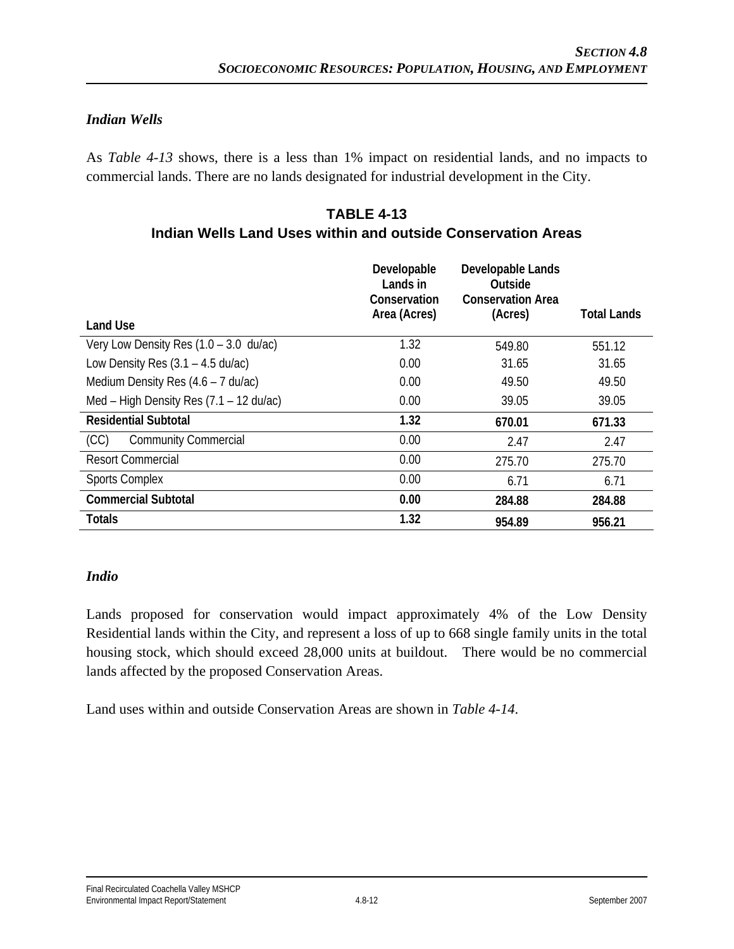### *Indian Wells*

As *Table 4-13* shows, there is a less than 1% impact on residential lands, and no impacts to commercial lands. There are no lands designated for industrial development in the City.

#### **TABLE 4-13 Indian Wells Land Uses within and outside Conservation Areas**

| <b>Land Use</b>                                   | Developable<br>Lands in<br>Conservation<br>Area (Acres) | Developable Lands<br>Outside<br><b>Conservation Area</b><br>(Acres) | Total Lands |
|---------------------------------------------------|---------------------------------------------------------|---------------------------------------------------------------------|-------------|
| Very Low Density Res $(1.0 - 3.0 \text{ du/ac})$  | 1.32                                                    | 549.80                                                              | 551.12      |
| Low Density Res $(3.1 - 4.5 \text{ du/ac})$       | 0.00                                                    | 31.65                                                               | 31.65       |
| Medium Density Res $(4.6 - 7 \text{ du}/ac)$      | 0.00                                                    | 49.50                                                               | 49.50       |
| Med – High Density Res $(7.1 - 12 \text{ du/ac})$ | 0.00                                                    | 39.05                                                               | 39.05       |
| <b>Residential Subtotal</b>                       | 1.32                                                    | 670.01                                                              | 671.33      |
| <b>Community Commercial</b><br>(CC)               | 0.00                                                    | 2.47                                                                | 2.47        |
| <b>Resort Commercial</b>                          | 0.00                                                    | 275.70                                                              | 275.70      |
| <b>Sports Complex</b>                             | 0.00                                                    | 6.71                                                                | 6.71        |
| <b>Commercial Subtotal</b>                        | 0.00                                                    | 284.88                                                              | 284.88      |
| <b>Totals</b>                                     | 1.32                                                    | 954.89                                                              | 956.21      |

#### *Indio*

Lands proposed for conservation would impact approximately 4% of the Low Density Residential lands within the City, and represent a loss of up to 668 single family units in the total housing stock, which should exceed 28,000 units at buildout. There would be no commercial lands affected by the proposed Conservation Areas.

Land uses within and outside Conservation Areas are shown in *Table 4-14*.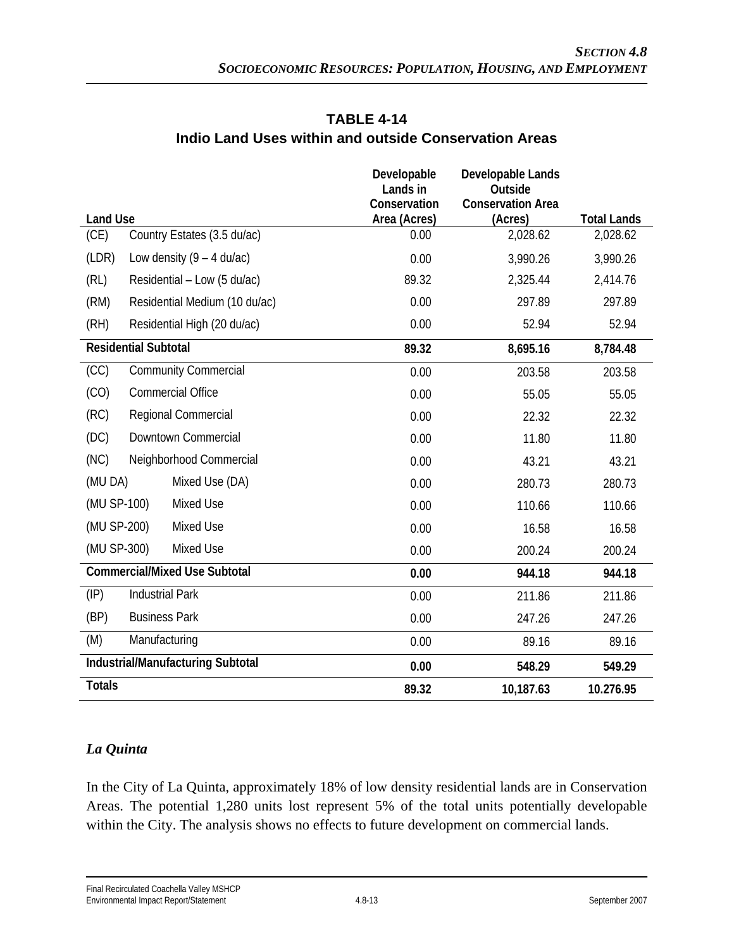|                                              | Developable<br>Lands in      | Developable Lands<br>Outside        |                    |
|----------------------------------------------|------------------------------|-------------------------------------|--------------------|
| <b>Land Use</b>                              | Conservation<br>Area (Acres) | <b>Conservation Area</b><br>(Acres) | <b>Total Lands</b> |
| Country Estates (3.5 du/ac)<br>(CE)          | 0.00                         | 2,028.62                            | 2,028.62           |
| (LDR)<br>Low density $(9 - 4 \text{ du/ac})$ | 0.00                         | 3,990.26                            | 3,990.26           |
| (RL)<br>Residential - Low (5 du/ac)          | 89.32                        | 2,325.44                            | 2,414.76           |
| (RM)<br>Residential Medium (10 du/ac)        | 0.00                         | 297.89                              | 297.89             |
| (RH)<br>Residential High (20 du/ac)          | 0.00                         | 52.94                               | 52.94              |
| <b>Residential Subtotal</b>                  | 89.32                        | 8,695.16                            | 8,784.48           |
| (CC)<br><b>Community Commercial</b>          | 0.00                         | 203.58                              | 203.58             |
| <b>Commercial Office</b><br>(CO)             | 0.00                         | 55.05                               | 55.05              |
| Regional Commercial<br>(RC)                  | 0.00                         | 22.32                               | 22.32              |
| (DC)<br>Downtown Commercial                  | 0.00                         | 11.80                               | 11.80              |
| (NC)<br>Neighborhood Commercial              | 0.00                         | 43.21                               | 43.21              |
| (MU DA)<br>Mixed Use (DA)                    | 0.00                         | 280.73                              | 280.73             |
| (MU SP-100)<br>Mixed Use                     | 0.00                         | 110.66                              | 110.66             |
| (MU SP-200)<br>Mixed Use                     | 0.00                         | 16.58                               | 16.58              |
| (MU SP-300)<br>Mixed Use                     | 0.00                         | 200.24                              | 200.24             |
| <b>Commercial/Mixed Use Subtotal</b>         | 0.00                         | 944.18                              | 944.18             |
| <b>Industrial Park</b><br>$(\mathsf{IP})$    | 0.00                         | 211.86                              | 211.86             |
| (BP)<br><b>Business Park</b>                 | 0.00                         | 247.26                              | 247.26             |
| Manufacturing<br>(M)                         | 0.00                         | 89.16                               | 89.16              |
| Industrial/Manufacturing Subtotal            | 0.00                         | 548.29                              | 549.29             |
| <b>Totals</b>                                | 89.32                        | 10,187.63                           | 10.276.95          |

## **TABLE 4-14 Indio Land Uses within and outside Conservation Areas**

## *La Quinta*

In the City of La Quinta, approximately 18% of low density residential lands are in Conservation Areas. The potential 1,280 units lost represent 5% of the total units potentially developable within the City. The analysis shows no effects to future development on commercial lands.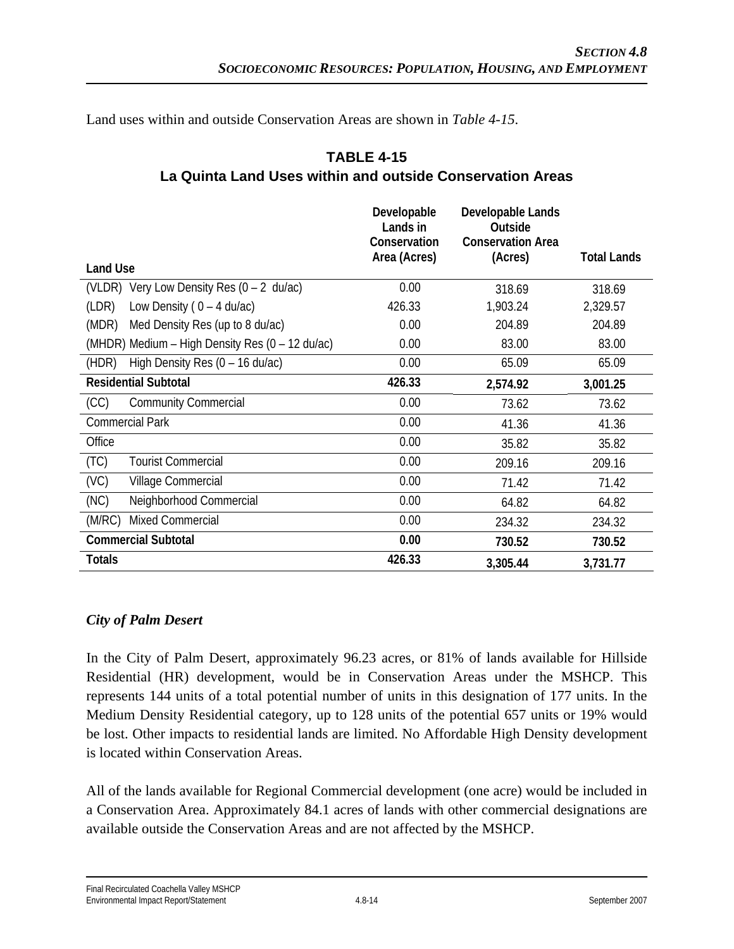Land uses within and outside Conservation Areas are shown in *Table 4-15*.

### **TABLE 4-15 La Quinta Land Uses within and outside Conservation Areas**

|                                                    | Developable<br>Lands in<br>Conservation<br>Area (Acres) | Developable Lands<br>Outside<br><b>Conservation Area</b><br>(Acres) | <b>Total Lands</b> |
|----------------------------------------------------|---------------------------------------------------------|---------------------------------------------------------------------|--------------------|
| <b>Land Use</b>                                    |                                                         |                                                                     |                    |
| (VLDR) Very Low Density Res (0 - 2 du/ac)          | 0.00                                                    | 318.69                                                              | 318.69             |
| (LDR)<br>Low Density ( $0 - 4$ du/ac)              | 426.33                                                  | 1,903.24                                                            | 2,329.57           |
| (MDR)<br>Med Density Res (up to 8 du/ac)           | 0.00                                                    | 204.89                                                              | 204.89             |
| (MHDR) Medium - High Density Res (0 - 12 du/ac)    | 0.00                                                    | 83.00                                                               | 83.00              |
| High Density Res $(0 - 16 \text{ du}/ac)$<br>(HDR) | 0.00                                                    | 65.09                                                               | 65.09              |
| <b>Residential Subtotal</b>                        | 426.33                                                  | 2,574.92                                                            | 3,001.25           |
| <b>Community Commercial</b><br>(CC)                | 0.00                                                    | 73.62                                                               | 73.62              |
| <b>Commercial Park</b>                             | 0.00                                                    | 41.36                                                               | 41.36              |
| Office                                             | 0.00                                                    | 35.82                                                               | 35.82              |
| (TC)<br><b>Tourist Commercial</b>                  | 0.00                                                    | 209.16                                                              | 209.16             |
| (VC)<br>Village Commercial                         | 0.00                                                    | 71.42                                                               | 71.42              |
| (NC)<br>Neighborhood Commercial                    | 0.00                                                    | 64.82                                                               | 64.82              |
| <b>Mixed Commercial</b><br>(M/RC)                  | 0.00                                                    | 234.32                                                              | 234.32             |
| <b>Commercial Subtotal</b>                         | 0.00                                                    | 730.52                                                              | 730.52             |
| Totals                                             | 426.33                                                  | 3,305.44                                                            | 3,731.77           |

### *City of Palm Desert*

In the City of Palm Desert, approximately 96.23 acres, or 81% of lands available for Hillside Residential (HR) development, would be in Conservation Areas under the MSHCP. This represents 144 units of a total potential number of units in this designation of 177 units. In the Medium Density Residential category, up to 128 units of the potential 657 units or 19% would be lost. Other impacts to residential lands are limited. No Affordable High Density development is located within Conservation Areas.

All of the lands available for Regional Commercial development (one acre) would be included in a Conservation Area. Approximately 84.1 acres of lands with other commercial designations are available outside the Conservation Areas and are not affected by the MSHCP.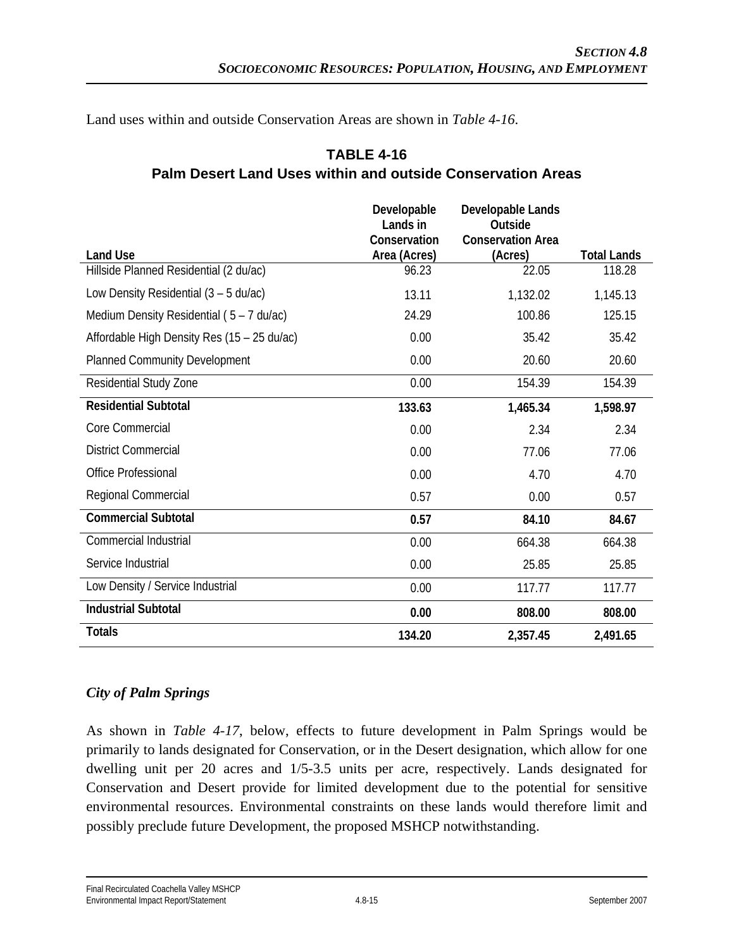Land uses within and outside Conservation Areas are shown in *Table 4-16*.

| <b>Land Use</b>                             | Developable<br>Lands in<br>Conservation<br>Area (Acres) | Developable Lands<br>Outside<br><b>Conservation Area</b><br>(Acres) | <b>Total Lands</b> |
|---------------------------------------------|---------------------------------------------------------|---------------------------------------------------------------------|--------------------|
| Hillside Planned Residential (2 du/ac)      | 96.23                                                   | 22.05                                                               | 118.28             |
| Low Density Residential $(3 - 5 du/ac)$     | 13.11                                                   | 1,132.02                                                            | 1,145.13           |
| Medium Density Residential ( $5 - 7$ du/ac) | 24.29                                                   | 100.86                                                              | 125.15             |
| Affordable High Density Res (15 - 25 du/ac) | 0.00                                                    | 35.42                                                               | 35.42              |
| <b>Planned Community Development</b>        | 0.00                                                    | 20.60                                                               | 20.60              |
| Residential Study Zone                      | 0.00                                                    | 154.39                                                              | 154.39             |
| <b>Residential Subtotal</b>                 | 133.63                                                  | 1,465.34                                                            | 1,598.97           |
| Core Commercial                             | 0.00                                                    | 2.34                                                                | 2.34               |
| <b>District Commercial</b>                  | 0.00                                                    | 77.06                                                               | 77.06              |
| <b>Office Professional</b>                  | 0.00                                                    | 4.70                                                                | 4.70               |
| Regional Commercial                         | 0.57                                                    | 0.00                                                                | 0.57               |
| <b>Commercial Subtotal</b>                  | 0.57                                                    | 84.10                                                               | 84.67              |
| <b>Commercial Industrial</b>                | 0.00                                                    | 664.38                                                              | 664.38             |
| Service Industrial                          | 0.00                                                    | 25.85                                                               | 25.85              |
| Low Density / Service Industrial            | 0.00                                                    | 117.77                                                              | 117.77             |
| <b>Industrial Subtotal</b>                  | 0.00                                                    | 808.00                                                              | 808.00             |
| <b>Totals</b>                               | 134.20                                                  | 2,357.45                                                            | 2,491.65           |

## **TABLE 4-16 Palm Desert Land Uses within and outside Conservation Areas**

## *City of Palm Springs*

As shown in *Table 4-17*, below, effects to future development in Palm Springs would be primarily to lands designated for Conservation, or in the Desert designation, which allow for one dwelling unit per 20 acres and 1/5-3.5 units per acre, respectively. Lands designated for Conservation and Desert provide for limited development due to the potential for sensitive environmental resources. Environmental constraints on these lands would therefore limit and possibly preclude future Development, the proposed MSHCP notwithstanding.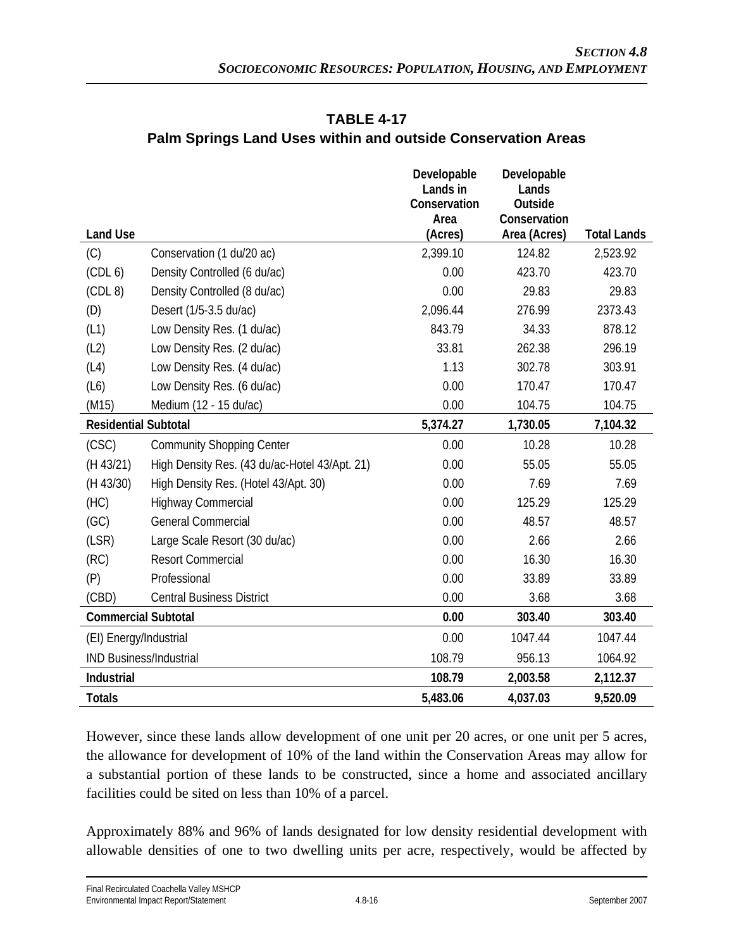|                                |                                               | Developable          | Developable             |                    |
|--------------------------------|-----------------------------------------------|----------------------|-------------------------|--------------------|
|                                |                                               | Lands in             | Lands                   |                    |
|                                |                                               | Conservation<br>Area | Outside<br>Conservation |                    |
| <b>Land Use</b>                |                                               | (Acres)              | Area (Acres)            | <b>Total Lands</b> |
| (C)                            | Conservation (1 du/20 ac)                     | 2,399.10             | 124.82                  | 2,523.92           |
| (CDL <sub>6</sub> )            | Density Controlled (6 du/ac)                  | 0.00                 | 423.70                  | 423.70             |
| (CDL 8)                        | Density Controlled (8 du/ac)                  | 0.00                 | 29.83                   | 29.83              |
| (D)                            | Desert (1/5-3.5 du/ac)                        | 2,096.44             | 276.99                  | 2373.43            |
| (L1)                           | Low Density Res. (1 du/ac)                    | 843.79               | 34.33                   | 878.12             |
| (L2)                           | Low Density Res. (2 du/ac)                    | 33.81                | 262.38                  | 296.19             |
| (L4)                           | Low Density Res. (4 du/ac)                    | 1.13                 | 302.78                  | 303.91             |
| (L6)                           | Low Density Res. (6 du/ac)                    | 0.00                 | 170.47                  | 170.47             |
| (M15)                          | Medium (12 - 15 du/ac)                        | 0.00                 | 104.75                  | 104.75             |
| <b>Residential Subtotal</b>    |                                               | 5,374.27             | 1,730.05                | 7,104.32           |
| (CSC)                          | <b>Community Shopping Center</b>              | 0.00                 | 10.28                   | 10.28              |
| (H 43/21)                      | High Density Res. (43 du/ac-Hotel 43/Apt. 21) | 0.00                 | 55.05                   | 55.05              |
| (H 43/30)                      | High Density Res. (Hotel 43/Apt. 30)          | 0.00                 | 7.69                    | 7.69               |
| (HC)                           | <b>Highway Commercial</b>                     | 0.00                 | 125.29                  | 125.29             |
| (GC)                           | <b>General Commercial</b>                     | 0.00                 | 48.57                   | 48.57              |
| (LSR)                          | Large Scale Resort (30 du/ac)                 | 0.00                 | 2.66                    | 2.66               |
| (RC)                           | <b>Resort Commercial</b>                      | 0.00                 | 16.30                   | 16.30              |
| (P)                            | Professional                                  | 0.00                 | 33.89                   | 33.89              |
| (CBD)                          | <b>Central Business District</b>              | 0.00                 | 3.68                    | 3.68               |
| <b>Commercial Subtotal</b>     |                                               | 0.00                 | 303.40                  | 303.40             |
| (EI) Energy/Industrial         |                                               | 0.00                 | 1047.44                 | 1047.44            |
| <b>IND Business/Industrial</b> |                                               | 108.79               | 956.13                  | 1064.92            |
| Industrial                     |                                               | 108.79               | 2,003.58                | 2,112.37           |
| <b>Totals</b>                  |                                               | 5,483.06             | 4,037.03                | 9,520.09           |

## **TABLE 4-17 Palm Springs Land Uses within and outside Conservation Areas**

However, since these lands allow development of one unit per 20 acres, or one unit per 5 acres, the allowance for development of 10% of the land within the Conservation Areas may allow for a substantial portion of these lands to be constructed, since a home and associated ancillary facilities could be sited on less than 10% of a parcel.

Approximately 88% and 96% of lands designated for low density residential development with allowable densities of one to two dwelling units per acre, respectively, would be affected by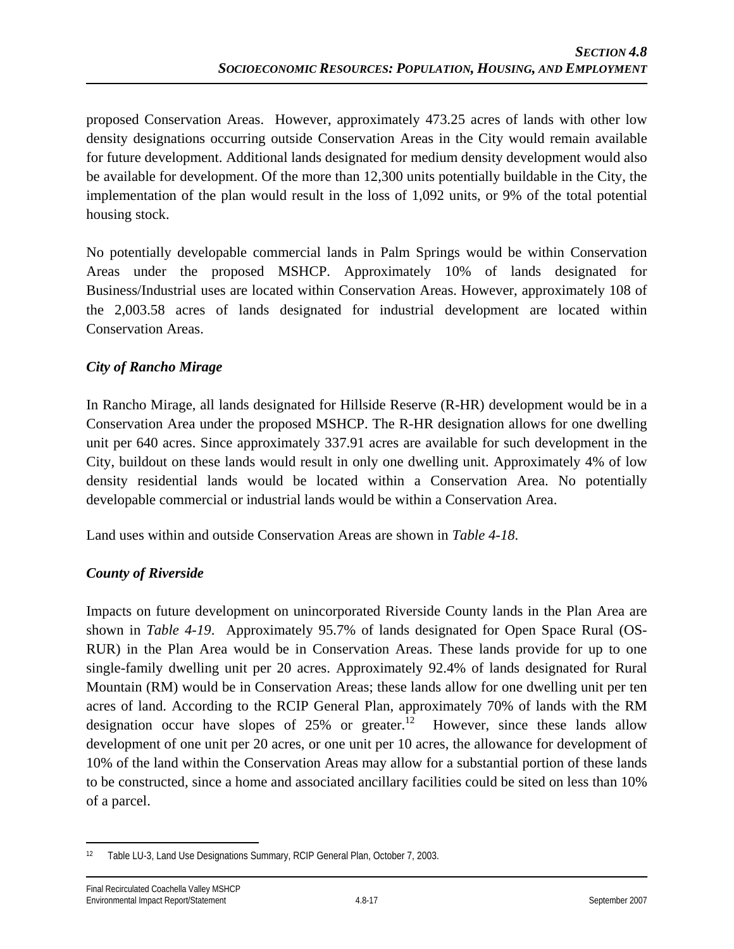proposed Conservation Areas. However, approximately 473.25 acres of lands with other low density designations occurring outside Conservation Areas in the City would remain available for future development. Additional lands designated for medium density development would also be available for development. Of the more than 12,300 units potentially buildable in the City, the implementation of the plan would result in the loss of 1,092 units, or 9% of the total potential housing stock.

No potentially developable commercial lands in Palm Springs would be within Conservation Areas under the proposed MSHCP. Approximately 10% of lands designated for Business/Industrial uses are located within Conservation Areas. However, approximately 108 of the 2,003.58 acres of lands designated for industrial development are located within Conservation Areas.

### *City of Rancho Mirage*

In Rancho Mirage, all lands designated for Hillside Reserve (R-HR) development would be in a Conservation Area under the proposed MSHCP. The R-HR designation allows for one dwelling unit per 640 acres. Since approximately 337.91 acres are available for such development in the City, buildout on these lands would result in only one dwelling unit. Approximately 4% of low density residential lands would be located within a Conservation Area. No potentially developable commercial or industrial lands would be within a Conservation Area.

Land uses within and outside Conservation Areas are shown in *Table 4-18*.

### *County of Riverside*

Impacts on future development on unincorporated Riverside County lands in the Plan Area are shown in *Table 4-19*. Approximately 95.7% of lands designated for Open Space Rural (OS-RUR) in the Plan Area would be in Conservation Areas. These lands provide for up to one single-family dwelling unit per 20 acres. Approximately 92.4% of lands designated for Rural Mountain (RM) would be in Conservation Areas; these lands allow for one dwelling unit per ten acres of land. According to the RCIP General Plan, approximately 70% of lands with the RM designation occur have slopes of  $25\%$  or greater.<sup>12</sup> However, since these lands allow development of one unit per 20 acres, or one unit per 10 acres, the allowance for development of 10% of the land within the Conservation Areas may allow for a substantial portion of these lands to be constructed, since a home and associated ancillary facilities could be sited on less than 10% of a parcel.

 $\overline{a}$ 12 Table LU-3, Land Use Designations Summary, RCIP General Plan, October 7, 2003.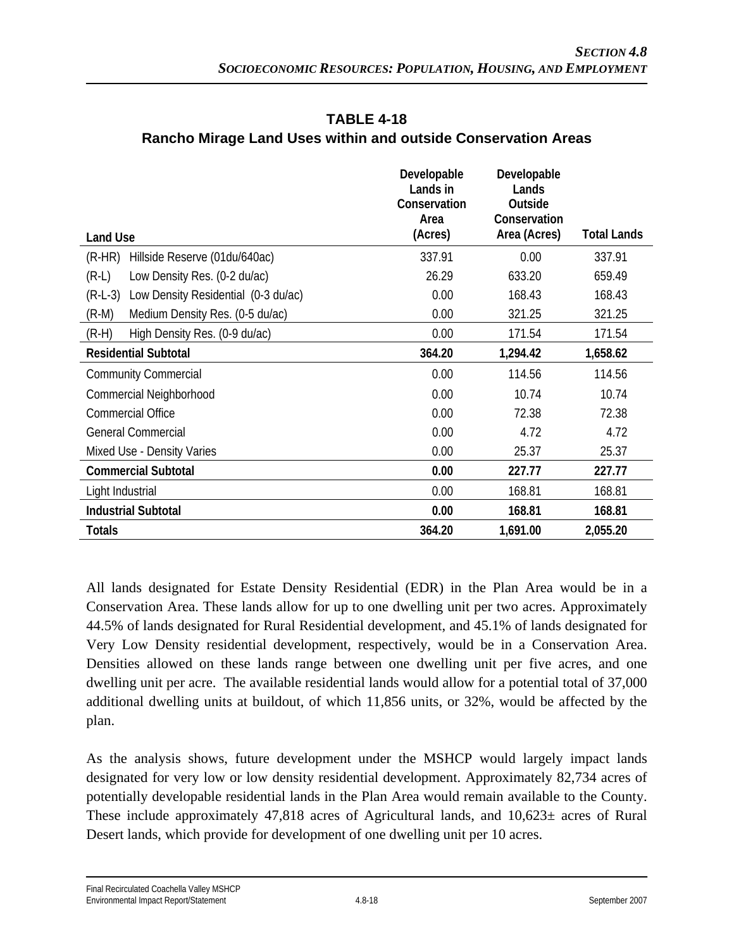|                                                  | Developable<br>Lands in<br>Conservation<br>Area | Developable<br>Lands<br>Outside<br>Conservation |                    |
|--------------------------------------------------|-------------------------------------------------|-------------------------------------------------|--------------------|
| <b>Land Use</b>                                  | (Acres)                                         | Area (Acres)                                    | <b>Total Lands</b> |
| Hillside Reserve (01du/640ac)<br>$(R-HR)$        | 337.91                                          | 0.00                                            | 337.91             |
| Low Density Res. (0-2 du/ac)<br>$(R-L)$          | 26.29                                           | 633.20                                          | 659.49             |
| Low Density Residential (0-3 du/ac)<br>$(R-L-3)$ | 0.00                                            | 168.43                                          | 168.43             |
| Medium Density Res. (0-5 du/ac)<br>$(R-M)$       | 0.00                                            | 321.25                                          | 321.25             |
| High Density Res. (0-9 du/ac)<br>$(R-H)$         | 0.00                                            | 171.54                                          | 171.54             |
| <b>Residential Subtotal</b>                      | 364.20                                          | 1,294.42                                        | 1,658.62           |
| <b>Community Commercial</b>                      | 0.00                                            | 114.56                                          | 114.56             |
| Commercial Neighborhood                          | 0.00                                            | 10.74                                           | 10.74              |
| <b>Commercial Office</b>                         | 0.00                                            | 72.38                                           | 72.38              |
| <b>General Commercial</b>                        | 0.00                                            | 4.72                                            | 4.72               |
| Mixed Use - Density Varies                       | 0.00                                            | 25.37                                           | 25.37              |
| <b>Commercial Subtotal</b>                       | 0.00                                            | 227.77                                          | 227.77             |
| Light Industrial                                 | 0.00                                            | 168.81                                          | 168.81             |
| <b>Industrial Subtotal</b>                       | 0.00                                            | 168.81                                          | 168.81             |
| <b>Totals</b>                                    | 364.20                                          | 1,691.00                                        | 2,055.20           |

## **TABLE 4-18 Rancho Mirage Land Uses within and outside Conservation Areas**

All lands designated for Estate Density Residential (EDR) in the Plan Area would be in a Conservation Area. These lands allow for up to one dwelling unit per two acres. Approximately 44.5% of lands designated for Rural Residential development, and 45.1% of lands designated for Very Low Density residential development, respectively, would be in a Conservation Area. Densities allowed on these lands range between one dwelling unit per five acres, and one dwelling unit per acre. The available residential lands would allow for a potential total of 37,000 additional dwelling units at buildout, of which 11,856 units, or 32%, would be affected by the plan.

As the analysis shows, future development under the MSHCP would largely impact lands designated for very low or low density residential development. Approximately 82,734 acres of potentially developable residential lands in the Plan Area would remain available to the County. These include approximately 47,818 acres of Agricultural lands, and  $10,623\pm$  acres of Rural Desert lands, which provide for development of one dwelling unit per 10 acres.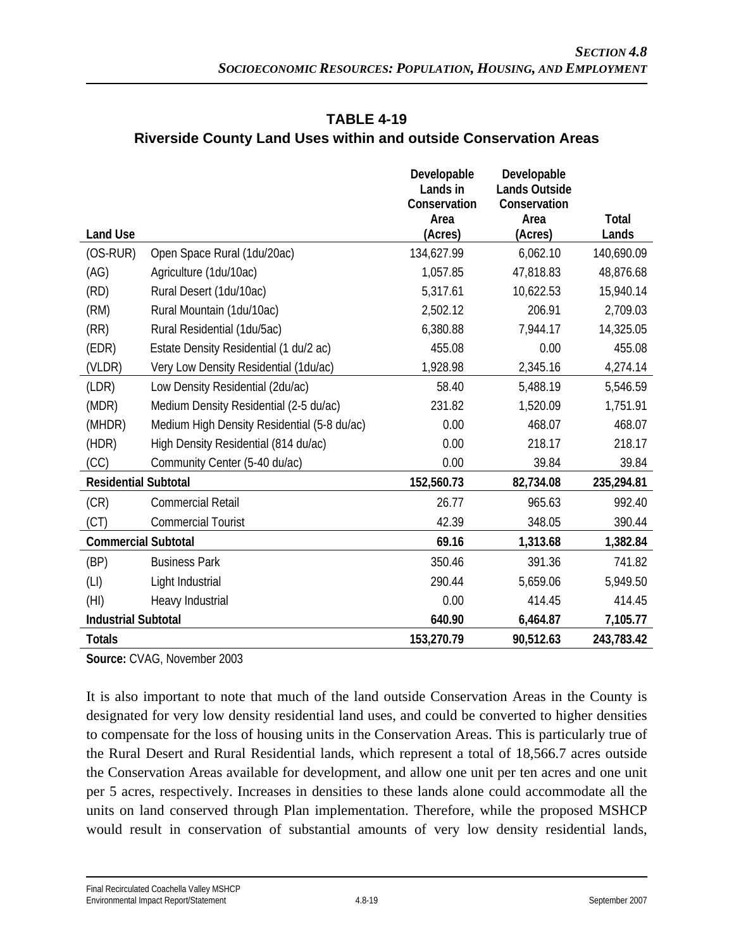|                             |                                                  | Developable<br>Lands in<br>Conservation | Developable<br><b>Lands Outside</b><br>Conservation |            |
|-----------------------------|--------------------------------------------------|-----------------------------------------|-----------------------------------------------------|------------|
|                             |                                                  | Area                                    | Area                                                | Total      |
| <b>Land Use</b>             |                                                  | (Acres)                                 | (Acres)                                             | Lands      |
| $(OS-RUR)$                  | Open Space Rural (1du/20ac)                      | 134,627.99                              | 6,062.10                                            | 140,690.09 |
| (AG)                        | Agriculture (1du/10ac)                           | 1,057.85                                | 47,818.83                                           | 48,876.68  |
| (RD)                        | Rural Desert (1du/10ac)                          | 5,317.61                                | 10,622.53                                           | 15,940.14  |
| (RM)                        | Rural Mountain (1du/10ac)                        | 2,502.12                                | 206.91                                              | 2,709.03   |
| (RR)                        | Rural Residential (1du/5ac)                      | 6,380.88                                | 7,944.17                                            | 14,325.05  |
| (EDR)                       | Estate Density Residential (1 du/2 ac)           | 455.08                                  | 0.00                                                | 455.08     |
| (VLDR)                      | Very Low Density Residential (1du/ac)            | 1,928.98                                | 2,345.16                                            | 4,274.14   |
| (LDR)                       | Low Density Residential (2du/ac)                 | 58.40                                   | 5,488.19                                            | 5,546.59   |
| (MDR)                       | Medium Density Residential (2-5 du/ac)           | 231.82                                  | 1,520.09                                            | 1,751.91   |
| (MHDR)                      | Medium High Density Residential (5-8 du/ac)      | 0.00                                    | 468.07                                              | 468.07     |
| (HDR)                       | High Density Residential (814 du/ac)             | 0.00                                    | 218.17                                              | 218.17     |
| (CC)                        | Community Center (5-40 du/ac)                    | 0.00                                    | 39.84                                               | 39.84      |
| <b>Residential Subtotal</b> |                                                  | 152,560.73                              | 82,734.08                                           | 235,294.81 |
| (CR)                        | <b>Commercial Retail</b>                         | 26.77                                   | 965.63                                              | 992.40     |
| (CT)                        | <b>Commercial Tourist</b>                        | 42.39                                   | 348.05                                              | 390.44     |
| <b>Commercial Subtotal</b>  |                                                  | 69.16                                   | 1,313.68                                            | 1,382.84   |
| (BP)                        | <b>Business Park</b>                             | 350.46                                  | 391.36                                              | 741.82     |
| (LI)                        | Light Industrial                                 | 290.44                                  | 5,659.06                                            | 5,949.50   |
| (HI)                        | Heavy Industrial                                 | 0.00                                    | 414.45                                              | 414.45     |
|                             | <b>Industrial Subtotal</b><br>640.90<br>6,464.87 |                                         | 7,105.77                                            |            |
| <b>Totals</b>               |                                                  | 153,270.79                              | 90,512.63                                           | 243,783.42 |

# **TABLE 4-19 Riverside County Land Uses within and outside Conservation Areas**

**Source:** CVAG, November 2003

It is also important to note that much of the land outside Conservation Areas in the County is designated for very low density residential land uses, and could be converted to higher densities to compensate for the loss of housing units in the Conservation Areas. This is particularly true of the Rural Desert and Rural Residential lands, which represent a total of 18,566.7 acres outside the Conservation Areas available for development, and allow one unit per ten acres and one unit per 5 acres, respectively. Increases in densities to these lands alone could accommodate all the units on land conserved through Plan implementation. Therefore, while the proposed MSHCP would result in conservation of substantial amounts of very low density residential lands,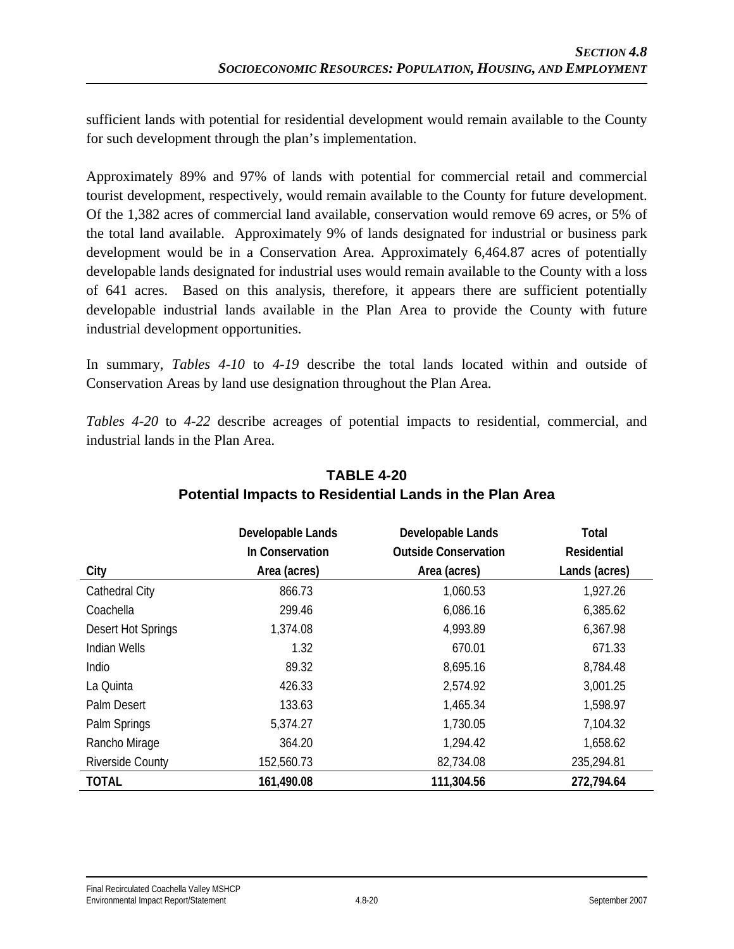sufficient lands with potential for residential development would remain available to the County for such development through the plan's implementation.

Approximately 89% and 97% of lands with potential for commercial retail and commercial tourist development, respectively, would remain available to the County for future development. Of the 1,382 acres of commercial land available, conservation would remove 69 acres, or 5% of the total land available. Approximately 9% of lands designated for industrial or business park development would be in a Conservation Area. Approximately 6,464.87 acres of potentially developable lands designated for industrial uses would remain available to the County with a loss of 641 acres. Based on this analysis, therefore, it appears there are sufficient potentially developable industrial lands available in the Plan Area to provide the County with future industrial development opportunities.

In summary, *Tables 4-10* to *4-19* describe the total lands located within and outside of Conservation Areas by land use designation throughout the Plan Area.

*Tables 4-20* to *4-22* describe acreages of potential impacts to residential, commercial, and industrial lands in the Plan Area.

|                         | Developable Lands | Developable Lands           | Total              |
|-------------------------|-------------------|-----------------------------|--------------------|
|                         | In Conservation   | <b>Outside Conservation</b> | <b>Residential</b> |
| City                    | Area (acres)      | Area (acres)                | Lands (acres)      |
| <b>Cathedral City</b>   | 866.73            | 1,060.53                    | 1,927.26           |
| Coachella               | 299.46            | 6,086.16                    | 6,385.62           |
| Desert Hot Springs      | 1,374.08          | 4,993.89                    | 6,367.98           |
| <b>Indian Wells</b>     | 1.32              | 670.01                      | 671.33             |
| Indio                   | 89.32             | 8,695.16                    | 8,784.48           |
| La Quinta               | 426.33            | 2,574.92                    | 3,001.25           |
| Palm Desert             | 133.63            | 1,465.34                    | 1,598.97           |
| Palm Springs            | 5,374.27          | 1,730.05                    | 7,104.32           |
| Rancho Mirage           | 364.20            | 1,294.42                    | 1,658.62           |
| <b>Riverside County</b> | 152,560.73        | 82,734.08                   | 235,294.81         |
| <b>TOTAL</b>            | 161,490.08        | 111,304.56                  | 272,794.64         |

# **TABLE 4-20 Potential Impacts to Residential Lands in the Plan Area**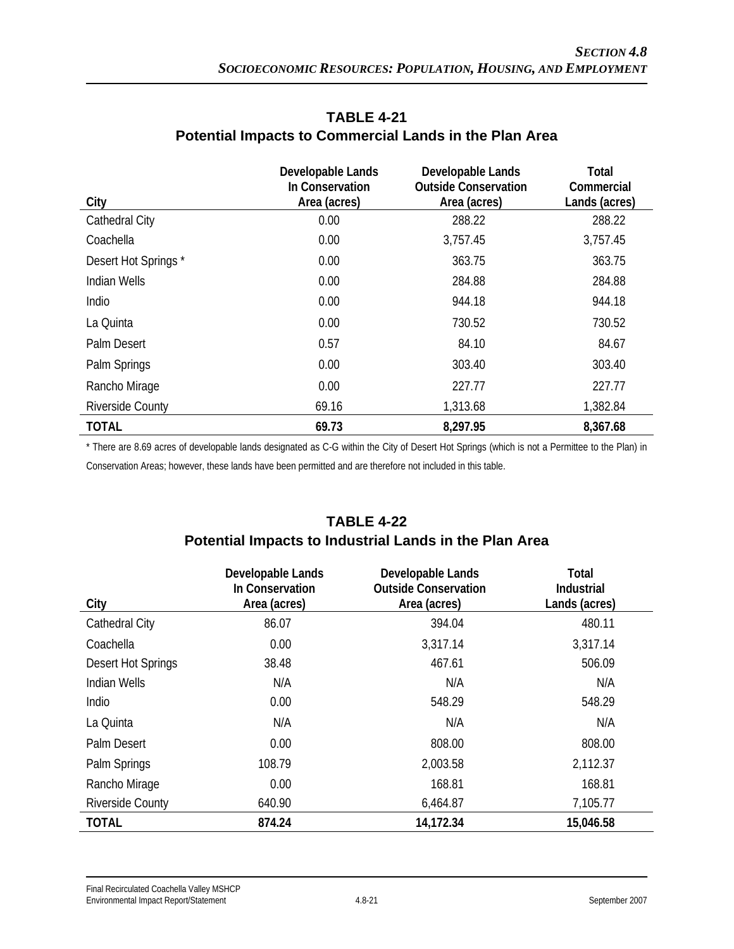| City                    | Developable Lands<br>In Conservation<br>Area (acres) | Developable Lands<br><b>Outside Conservation</b><br>Area (acres) | Total<br>Commercial<br>Lands (acres) |
|-------------------------|------------------------------------------------------|------------------------------------------------------------------|--------------------------------------|
| <b>Cathedral City</b>   | 0.00                                                 | 288.22                                                           | 288.22                               |
| Coachella               | 0.00                                                 | 3,757.45                                                         | 3,757.45                             |
| Desert Hot Springs*     | 0.00                                                 | 363.75                                                           | 363.75                               |
| <b>Indian Wells</b>     | 0.00                                                 | 284.88                                                           | 284.88                               |
| Indio                   | 0.00                                                 | 944.18                                                           | 944.18                               |
| La Quinta               | 0.00                                                 | 730.52                                                           | 730.52                               |
| Palm Desert             | 0.57                                                 | 84.10                                                            | 84.67                                |
| Palm Springs            | 0.00                                                 | 303.40                                                           | 303.40                               |
| Rancho Mirage           | 0.00                                                 | 227.77                                                           | 227.77                               |
| <b>Riverside County</b> | 69.16                                                | 1,313.68                                                         | 1,382.84                             |
| <b>TOTAL</b>            | 69.73                                                | 8,297.95                                                         | 8,367.68                             |

### **TABLE 4-21 Potential Impacts to Commercial Lands in the Plan Area**

\* There are 8.69 acres of developable lands designated as C-G within the City of Desert Hot Springs (which is not a Permittee to the Plan) in Conservation Areas; however, these lands have been permitted and are therefore not included in this table.

# **TABLE 4-22**

#### **Potential Impacts to Industrial Lands in the Plan Area**

|                         | Developable Lands<br>In Conservation | Developable Lands<br><b>Outside Conservation</b> | Total<br><b>Industrial</b> |
|-------------------------|--------------------------------------|--------------------------------------------------|----------------------------|
| City                    | Area (acres)                         | Area (acres)                                     | Lands (acres)              |
| <b>Cathedral City</b>   | 86.07                                | 394.04                                           | 480.11                     |
| Coachella               | 0.00                                 | 3,317.14                                         | 3,317.14                   |
| Desert Hot Springs      | 38.48                                | 467.61                                           | 506.09                     |
| <b>Indian Wells</b>     | N/A                                  | N/A                                              | N/A                        |
| Indio                   | 0.00                                 | 548.29                                           | 548.29                     |
| La Quinta               | N/A                                  | N/A                                              | N/A                        |
| Palm Desert             | 0.00                                 | 808.00                                           | 808.00                     |
| Palm Springs            | 108.79                               | 2,003.58                                         | 2,112.37                   |
| Rancho Mirage           | 0.00                                 | 168.81                                           | 168.81                     |
| <b>Riverside County</b> | 640.90                               | 6,464.87                                         | 7,105.77                   |
| <b>TOTAL</b>            | 874.24                               | 14,172.34                                        | 15,046.58                  |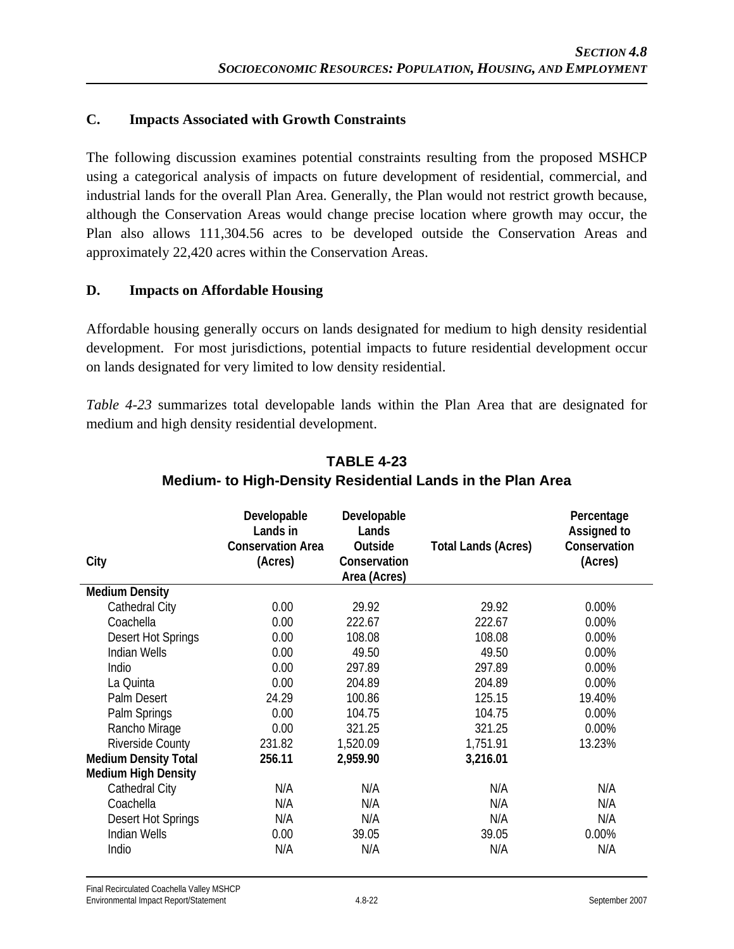#### **C. Impacts Associated with Growth Constraints**

The following discussion examines potential constraints resulting from the proposed MSHCP using a categorical analysis of impacts on future development of residential, commercial, and industrial lands for the overall Plan Area. Generally, the Plan would not restrict growth because, although the Conservation Areas would change precise location where growth may occur, the Plan also allows 111,304.56 acres to be developed outside the Conservation Areas and approximately 22,420 acres within the Conservation Areas.

#### **D. Impacts on Affordable Housing**

Affordable housing generally occurs on lands designated for medium to high density residential development. For most jurisdictions, potential impacts to future residential development occur on lands designated for very limited to low density residential.

*Table 4-23* summarizes total developable lands within the Plan Area that are designated for medium and high density residential development.

| City                        | Developable<br>Lands in<br><b>Conservation Area</b><br>(Acres) | Developable<br>Lands<br>Outside<br>Conservation<br>Area (Acres) | <b>Total Lands (Acres)</b> | Percentage<br>Assigned to<br>Conservation<br>(Acres) |
|-----------------------------|----------------------------------------------------------------|-----------------------------------------------------------------|----------------------------|------------------------------------------------------|
| <b>Medium Density</b>       |                                                                |                                                                 |                            |                                                      |
| Cathedral City              | 0.00                                                           | 29.92                                                           | 29.92                      | 0.00%                                                |
| Coachella                   | 0.00                                                           | 222.67                                                          | 222.67                     | 0.00%                                                |
| Desert Hot Springs          | 0.00                                                           | 108.08                                                          | 108.08                     | 0.00%                                                |
| <b>Indian Wells</b>         | 0.00                                                           | 49.50                                                           | 49.50                      | 0.00%                                                |
| Indio                       | 0.00                                                           | 297.89                                                          | 297.89                     | 0.00%                                                |
| La Quinta                   | 0.00                                                           | 204.89                                                          | 204.89                     | 0.00%                                                |
| Palm Desert                 | 24.29                                                          | 100.86                                                          | 125.15                     | 19.40%                                               |
| Palm Springs                | 0.00                                                           | 104.75                                                          | 104.75                     | 0.00%                                                |
| Rancho Mirage               | 0.00                                                           | 321.25                                                          | 321.25                     | 0.00%                                                |
| <b>Riverside County</b>     | 231.82                                                         | 1,520.09                                                        | 1,751.91                   | 13.23%                                               |
| <b>Medium Density Total</b> | 256.11                                                         | 2,959.90                                                        | 3,216.01                   |                                                      |
| <b>Medium High Density</b>  |                                                                |                                                                 |                            |                                                      |
| Cathedral City              | N/A                                                            | N/A                                                             | N/A                        | N/A                                                  |
| Coachella                   | N/A                                                            | N/A                                                             | N/A                        | N/A                                                  |
| Desert Hot Springs          | N/A                                                            | N/A                                                             | N/A                        | N/A                                                  |
| <b>Indian Wells</b>         | 0.00                                                           | 39.05                                                           | 39.05                      | 0.00%                                                |
| Indio                       | N/A                                                            | N/A                                                             | N/A                        | N/A                                                  |

## **TABLE 4-23 Medium- to High-Density Residential Lands in the Plan Area**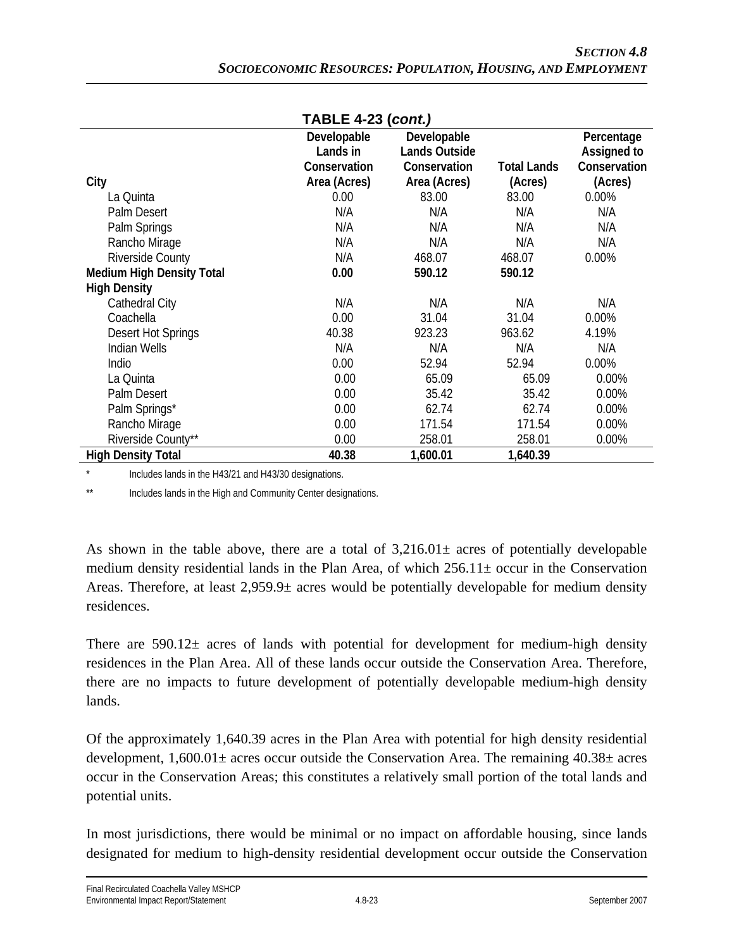| $1$ UDLL 4-29 (COIIL)            |              |                      |                    |              |
|----------------------------------|--------------|----------------------|--------------------|--------------|
|                                  | Developable  | Developable          |                    | Percentage   |
|                                  | Lands in     | <b>Lands Outside</b> |                    | Assigned to  |
|                                  | Conservation | Conservation         | <b>Total Lands</b> | Conservation |
| City                             | Area (Acres) | Area (Acres)         | (Acres)            | (Acres)      |
| La Quinta                        | 0.00         | 83.00                | 83.00              | 0.00%        |
| Palm Desert                      | N/A          | N/A                  | N/A                | N/A          |
| Palm Springs                     | N/A          | N/A                  | N/A                | N/A          |
| Rancho Mirage                    | N/A          | N/A                  | N/A                | N/A          |
| Riverside County                 | N/A          | 468.07               | 468.07             | 0.00%        |
| <b>Medium High Density Total</b> | 0.00         | 590.12               | 590.12             |              |
| <b>High Density</b>              |              |                      |                    |              |
| Cathedral City                   | N/A          | N/A                  | N/A                | N/A          |
| Coachella                        | 0.00         | 31.04                | 31.04              | 0.00%        |
| Desert Hot Springs               | 40.38        | 923.23               | 963.62             | 4.19%        |
| <b>Indian Wells</b>              | N/A          | N/A                  | N/A                | N/A          |
| Indio                            | 0.00         | 52.94                | 52.94              | 0.00%        |
| La Quinta                        | 0.00         | 65.09                | 65.09              | 0.00%        |
| Palm Desert                      | 0.00         | 35.42                | 35.42              | 0.00%        |
| Palm Springs*                    | 0.00         | 62.74                | 62.74              | 0.00%        |
| Rancho Mirage                    | 0.00         | 171.54               | 171.54             | 0.00%        |
| Riverside County**               | 0.00         | 258.01               | 258.01             | 0.00%        |
| <b>High Density Total</b>        | 40.38        | 1,600.01             | 1,640.39           |              |

**TABLE 4-23 (***cont.)*

Includes lands in the H43/21 and H43/30 designations.

\*\* Includes lands in the High and Community Center designations.

As shown in the table above, there are a total of  $3,216.01\pm$  acres of potentially developable medium density residential lands in the Plan Area, of which  $256.11 \pm \text{occur}$  in the Conservation Areas. Therefore, at least  $2.959.9\pm$  acres would be potentially developable for medium density residences.

There are  $590.12\pm$  acres of lands with potential for development for medium-high density residences in the Plan Area. All of these lands occur outside the Conservation Area. Therefore, there are no impacts to future development of potentially developable medium-high density lands.

Of the approximately 1,640.39 acres in the Plan Area with potential for high density residential development,  $1,600.01\pm$  acres occur outside the Conservation Area. The remaining  $40.38\pm$  acres occur in the Conservation Areas; this constitutes a relatively small portion of the total lands and potential units.

In most jurisdictions, there would be minimal or no impact on affordable housing, since lands designated for medium to high-density residential development occur outside the Conservation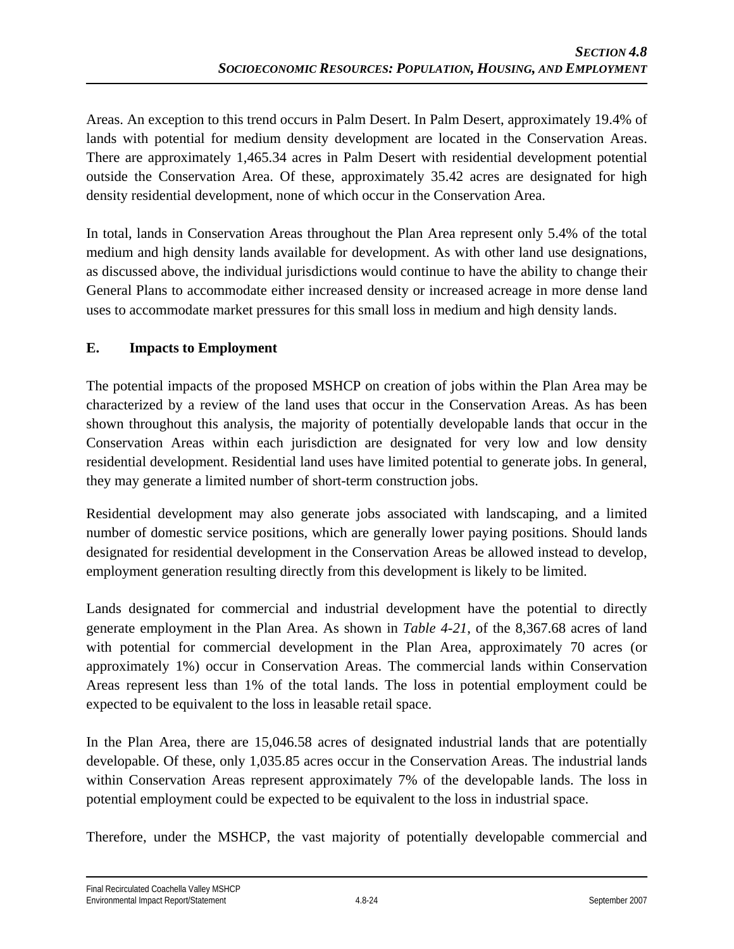Areas. An exception to this trend occurs in Palm Desert. In Palm Desert, approximately 19.4% of lands with potential for medium density development are located in the Conservation Areas. There are approximately 1,465.34 acres in Palm Desert with residential development potential outside the Conservation Area. Of these, approximately 35.42 acres are designated for high density residential development, none of which occur in the Conservation Area.

In total, lands in Conservation Areas throughout the Plan Area represent only 5.4% of the total medium and high density lands available for development. As with other land use designations, as discussed above, the individual jurisdictions would continue to have the ability to change their General Plans to accommodate either increased density or increased acreage in more dense land uses to accommodate market pressures for this small loss in medium and high density lands.

### **E. Impacts to Employment**

The potential impacts of the proposed MSHCP on creation of jobs within the Plan Area may be characterized by a review of the land uses that occur in the Conservation Areas. As has been shown throughout this analysis, the majority of potentially developable lands that occur in the Conservation Areas within each jurisdiction are designated for very low and low density residential development. Residential land uses have limited potential to generate jobs. In general, they may generate a limited number of short-term construction jobs.

Residential development may also generate jobs associated with landscaping, and a limited number of domestic service positions, which are generally lower paying positions. Should lands designated for residential development in the Conservation Areas be allowed instead to develop, employment generation resulting directly from this development is likely to be limited.

Lands designated for commercial and industrial development have the potential to directly generate employment in the Plan Area. As shown in *Table 4-21*, of the 8,367.68 acres of land with potential for commercial development in the Plan Area, approximately 70 acres (or approximately 1%) occur in Conservation Areas. The commercial lands within Conservation Areas represent less than 1% of the total lands. The loss in potential employment could be expected to be equivalent to the loss in leasable retail space.

In the Plan Area, there are 15,046.58 acres of designated industrial lands that are potentially developable. Of these, only 1,035.85 acres occur in the Conservation Areas. The industrial lands within Conservation Areas represent approximately 7% of the developable lands. The loss in potential employment could be expected to be equivalent to the loss in industrial space.

Therefore, under the MSHCP, the vast majority of potentially developable commercial and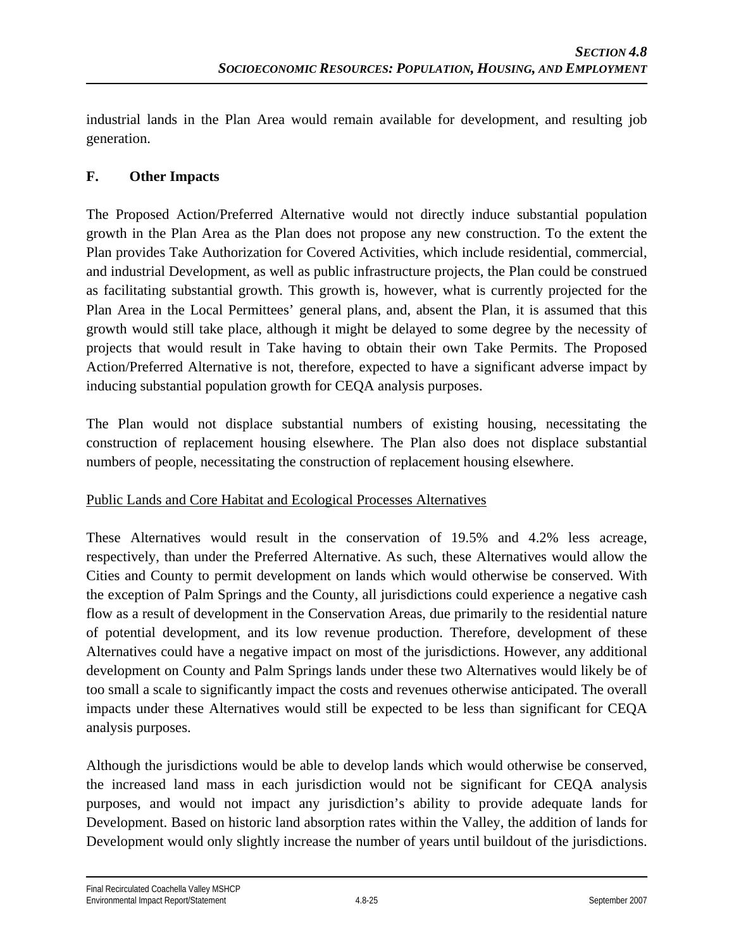industrial lands in the Plan Area would remain available for development, and resulting job generation.

### **F. Other Impacts**

The Proposed Action/Preferred Alternative would not directly induce substantial population growth in the Plan Area as the Plan does not propose any new construction. To the extent the Plan provides Take Authorization for Covered Activities, which include residential, commercial, and industrial Development, as well as public infrastructure projects, the Plan could be construed as facilitating substantial growth. This growth is, however, what is currently projected for the Plan Area in the Local Permittees' general plans, and, absent the Plan, it is assumed that this growth would still take place, although it might be delayed to some degree by the necessity of projects that would result in Take having to obtain their own Take Permits. The Proposed Action/Preferred Alternative is not, therefore, expected to have a significant adverse impact by inducing substantial population growth for CEQA analysis purposes.

The Plan would not displace substantial numbers of existing housing, necessitating the construction of replacement housing elsewhere. The Plan also does not displace substantial numbers of people, necessitating the construction of replacement housing elsewhere.

#### Public Lands and Core Habitat and Ecological Processes Alternatives

These Alternatives would result in the conservation of 19.5% and 4.2% less acreage, respectively, than under the Preferred Alternative. As such, these Alternatives would allow the Cities and County to permit development on lands which would otherwise be conserved. With the exception of Palm Springs and the County, all jurisdictions could experience a negative cash flow as a result of development in the Conservation Areas, due primarily to the residential nature of potential development, and its low revenue production. Therefore, development of these Alternatives could have a negative impact on most of the jurisdictions. However, any additional development on County and Palm Springs lands under these two Alternatives would likely be of too small a scale to significantly impact the costs and revenues otherwise anticipated. The overall impacts under these Alternatives would still be expected to be less than significant for CEQA analysis purposes.

Although the jurisdictions would be able to develop lands which would otherwise be conserved, the increased land mass in each jurisdiction would not be significant for CEQA analysis purposes, and would not impact any jurisdiction's ability to provide adequate lands for Development. Based on historic land absorption rates within the Valley, the addition of lands for Development would only slightly increase the number of years until buildout of the jurisdictions.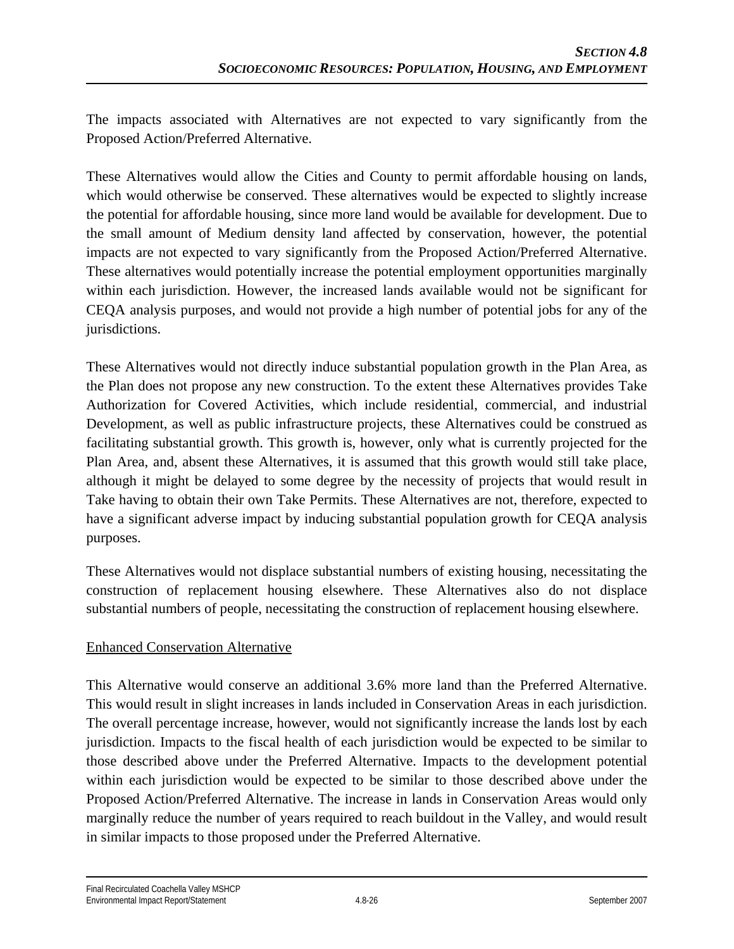The impacts associated with Alternatives are not expected to vary significantly from the Proposed Action/Preferred Alternative.

These Alternatives would allow the Cities and County to permit affordable housing on lands, which would otherwise be conserved. These alternatives would be expected to slightly increase the potential for affordable housing, since more land would be available for development. Due to the small amount of Medium density land affected by conservation, however, the potential impacts are not expected to vary significantly from the Proposed Action/Preferred Alternative. These alternatives would potentially increase the potential employment opportunities marginally within each jurisdiction. However, the increased lands available would not be significant for CEQA analysis purposes, and would not provide a high number of potential jobs for any of the jurisdictions.

These Alternatives would not directly induce substantial population growth in the Plan Area, as the Plan does not propose any new construction. To the extent these Alternatives provides Take Authorization for Covered Activities, which include residential, commercial, and industrial Development, as well as public infrastructure projects, these Alternatives could be construed as facilitating substantial growth. This growth is, however, only what is currently projected for the Plan Area, and, absent these Alternatives, it is assumed that this growth would still take place, although it might be delayed to some degree by the necessity of projects that would result in Take having to obtain their own Take Permits. These Alternatives are not, therefore, expected to have a significant adverse impact by inducing substantial population growth for CEQA analysis purposes.

These Alternatives would not displace substantial numbers of existing housing, necessitating the construction of replacement housing elsewhere. These Alternatives also do not displace substantial numbers of people, necessitating the construction of replacement housing elsewhere.

#### Enhanced Conservation Alternative

This Alternative would conserve an additional 3.6% more land than the Preferred Alternative. This would result in slight increases in lands included in Conservation Areas in each jurisdiction. The overall percentage increase, however, would not significantly increase the lands lost by each jurisdiction. Impacts to the fiscal health of each jurisdiction would be expected to be similar to those described above under the Preferred Alternative. Impacts to the development potential within each jurisdiction would be expected to be similar to those described above under the Proposed Action/Preferred Alternative. The increase in lands in Conservation Areas would only marginally reduce the number of years required to reach buildout in the Valley, and would result in similar impacts to those proposed under the Preferred Alternative.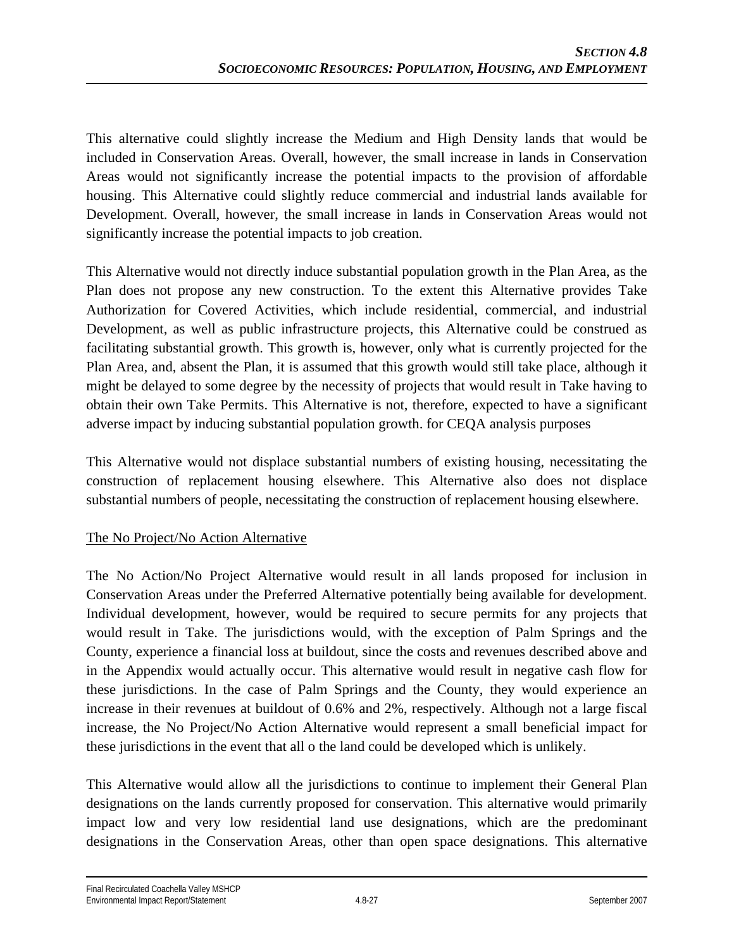This alternative could slightly increase the Medium and High Density lands that would be included in Conservation Areas. Overall, however, the small increase in lands in Conservation Areas would not significantly increase the potential impacts to the provision of affordable housing. This Alternative could slightly reduce commercial and industrial lands available for Development. Overall, however, the small increase in lands in Conservation Areas would not significantly increase the potential impacts to job creation.

This Alternative would not directly induce substantial population growth in the Plan Area, as the Plan does not propose any new construction. To the extent this Alternative provides Take Authorization for Covered Activities, which include residential, commercial, and industrial Development, as well as public infrastructure projects, this Alternative could be construed as facilitating substantial growth. This growth is, however, only what is currently projected for the Plan Area, and, absent the Plan, it is assumed that this growth would still take place, although it might be delayed to some degree by the necessity of projects that would result in Take having to obtain their own Take Permits. This Alternative is not, therefore, expected to have a significant adverse impact by inducing substantial population growth. for CEQA analysis purposes

This Alternative would not displace substantial numbers of existing housing, necessitating the construction of replacement housing elsewhere. This Alternative also does not displace substantial numbers of people, necessitating the construction of replacement housing elsewhere.

### The No Project/No Action Alternative

The No Action/No Project Alternative would result in all lands proposed for inclusion in Conservation Areas under the Preferred Alternative potentially being available for development. Individual development, however, would be required to secure permits for any projects that would result in Take. The jurisdictions would, with the exception of Palm Springs and the County, experience a financial loss at buildout, since the costs and revenues described above and in the Appendix would actually occur. This alternative would result in negative cash flow for these jurisdictions. In the case of Palm Springs and the County, they would experience an increase in their revenues at buildout of 0.6% and 2%, respectively. Although not a large fiscal increase, the No Project/No Action Alternative would represent a small beneficial impact for these jurisdictions in the event that all o the land could be developed which is unlikely.

This Alternative would allow all the jurisdictions to continue to implement their General Plan designations on the lands currently proposed for conservation. This alternative would primarily impact low and very low residential land use designations, which are the predominant designations in the Conservation Areas, other than open space designations. This alternative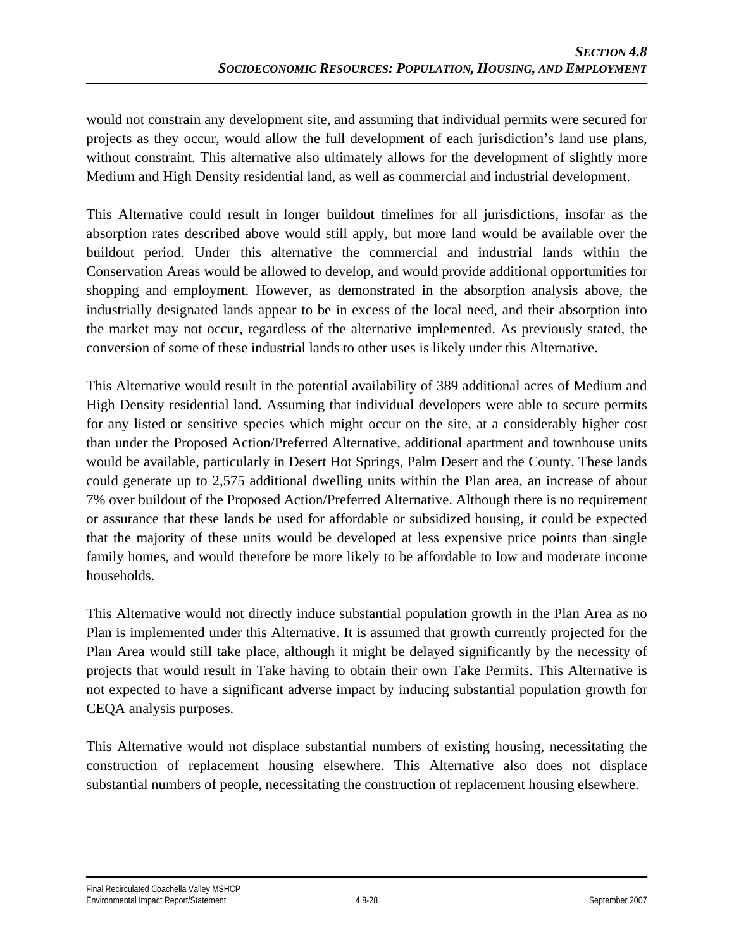would not constrain any development site, and assuming that individual permits were secured for projects as they occur, would allow the full development of each jurisdiction's land use plans, without constraint. This alternative also ultimately allows for the development of slightly more Medium and High Density residential land, as well as commercial and industrial development.

This Alternative could result in longer buildout timelines for all jurisdictions, insofar as the absorption rates described above would still apply, but more land would be available over the buildout period. Under this alternative the commercial and industrial lands within the Conservation Areas would be allowed to develop, and would provide additional opportunities for shopping and employment. However, as demonstrated in the absorption analysis above, the industrially designated lands appear to be in excess of the local need, and their absorption into the market may not occur, regardless of the alternative implemented. As previously stated, the conversion of some of these industrial lands to other uses is likely under this Alternative.

This Alternative would result in the potential availability of 389 additional acres of Medium and High Density residential land. Assuming that individual developers were able to secure permits for any listed or sensitive species which might occur on the site, at a considerably higher cost than under the Proposed Action/Preferred Alternative, additional apartment and townhouse units would be available, particularly in Desert Hot Springs, Palm Desert and the County. These lands could generate up to 2,575 additional dwelling units within the Plan area, an increase of about 7% over buildout of the Proposed Action/Preferred Alternative. Although there is no requirement or assurance that these lands be used for affordable or subsidized housing, it could be expected that the majority of these units would be developed at less expensive price points than single family homes, and would therefore be more likely to be affordable to low and moderate income households.

This Alternative would not directly induce substantial population growth in the Plan Area as no Plan is implemented under this Alternative. It is assumed that growth currently projected for the Plan Area would still take place, although it might be delayed significantly by the necessity of projects that would result in Take having to obtain their own Take Permits. This Alternative is not expected to have a significant adverse impact by inducing substantial population growth for CEQA analysis purposes.

This Alternative would not displace substantial numbers of existing housing, necessitating the construction of replacement housing elsewhere. This Alternative also does not displace substantial numbers of people, necessitating the construction of replacement housing elsewhere.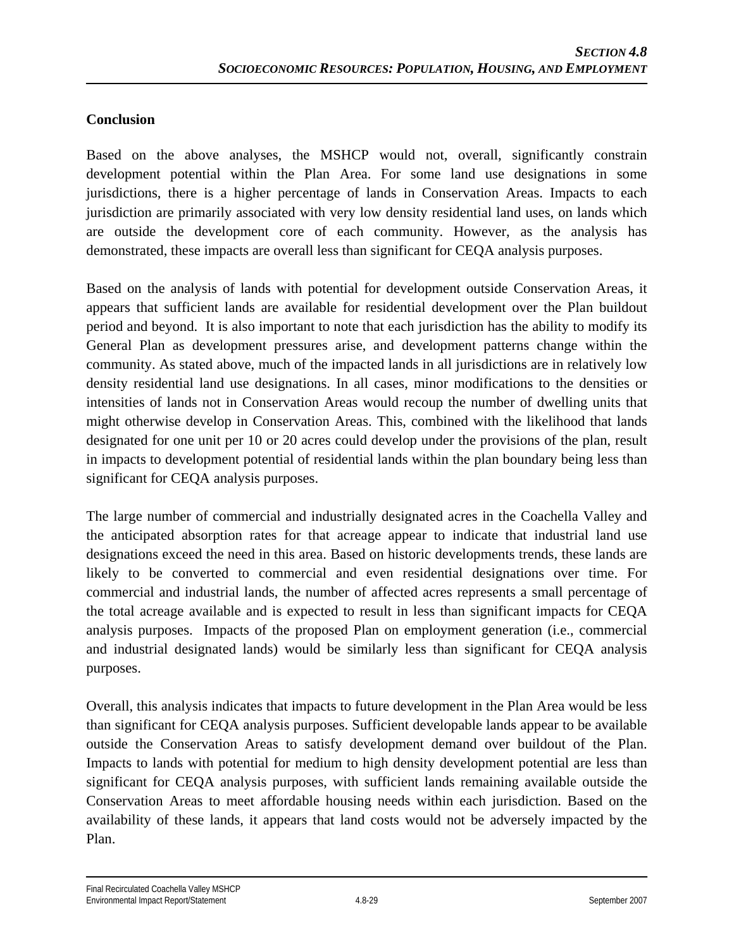#### **Conclusion**

Based on the above analyses, the MSHCP would not, overall, significantly constrain development potential within the Plan Area. For some land use designations in some jurisdictions, there is a higher percentage of lands in Conservation Areas. Impacts to each jurisdiction are primarily associated with very low density residential land uses, on lands which are outside the development core of each community. However, as the analysis has demonstrated, these impacts are overall less than significant for CEQA analysis purposes.

Based on the analysis of lands with potential for development outside Conservation Areas, it appears that sufficient lands are available for residential development over the Plan buildout period and beyond. It is also important to note that each jurisdiction has the ability to modify its General Plan as development pressures arise, and development patterns change within the community. As stated above, much of the impacted lands in all jurisdictions are in relatively low density residential land use designations. In all cases, minor modifications to the densities or intensities of lands not in Conservation Areas would recoup the number of dwelling units that might otherwise develop in Conservation Areas. This, combined with the likelihood that lands designated for one unit per 10 or 20 acres could develop under the provisions of the plan, result in impacts to development potential of residential lands within the plan boundary being less than significant for CEQA analysis purposes.

The large number of commercial and industrially designated acres in the Coachella Valley and the anticipated absorption rates for that acreage appear to indicate that industrial land use designations exceed the need in this area. Based on historic developments trends, these lands are likely to be converted to commercial and even residential designations over time. For commercial and industrial lands, the number of affected acres represents a small percentage of the total acreage available and is expected to result in less than significant impacts for CEQA analysis purposes. Impacts of the proposed Plan on employment generation (i.e., commercial and industrial designated lands) would be similarly less than significant for CEQA analysis purposes.

Overall, this analysis indicates that impacts to future development in the Plan Area would be less than significant for CEQA analysis purposes. Sufficient developable lands appear to be available outside the Conservation Areas to satisfy development demand over buildout of the Plan. Impacts to lands with potential for medium to high density development potential are less than significant for CEQA analysis purposes, with sufficient lands remaining available outside the Conservation Areas to meet affordable housing needs within each jurisdiction. Based on the availability of these lands, it appears that land costs would not be adversely impacted by the Plan.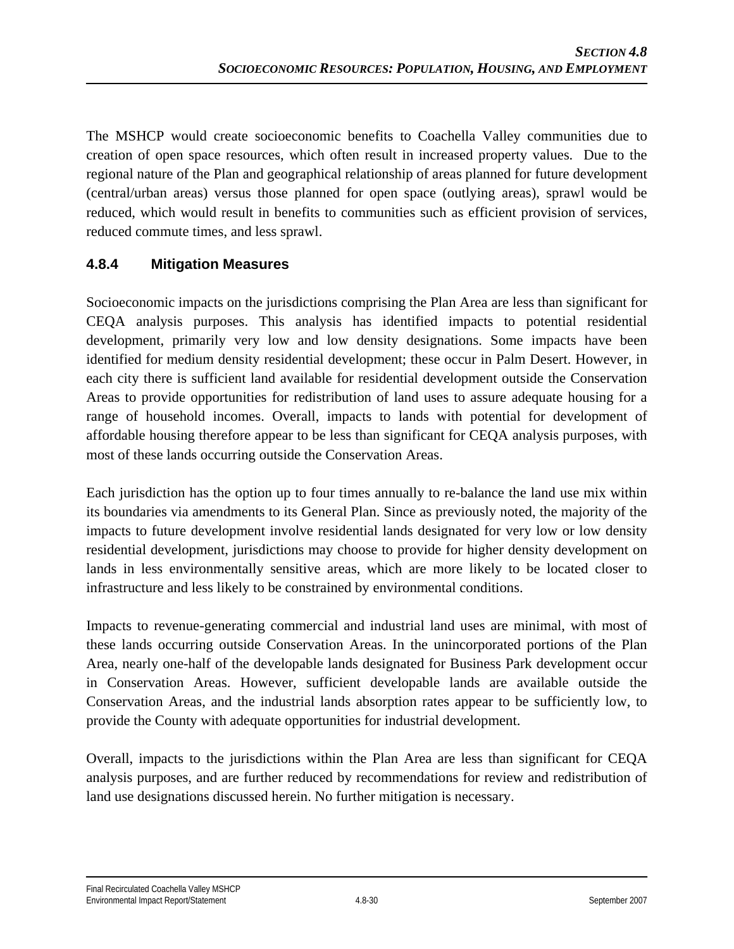The MSHCP would create socioeconomic benefits to Coachella Valley communities due to creation of open space resources, which often result in increased property values. Due to the regional nature of the Plan and geographical relationship of areas planned for future development (central/urban areas) versus those planned for open space (outlying areas), sprawl would be reduced, which would result in benefits to communities such as efficient provision of services, reduced commute times, and less sprawl.

#### **4.8.4 Mitigation Measures**

Socioeconomic impacts on the jurisdictions comprising the Plan Area are less than significant for CEQA analysis purposes. This analysis has identified impacts to potential residential development, primarily very low and low density designations. Some impacts have been identified for medium density residential development; these occur in Palm Desert. However, in each city there is sufficient land available for residential development outside the Conservation Areas to provide opportunities for redistribution of land uses to assure adequate housing for a range of household incomes. Overall, impacts to lands with potential for development of affordable housing therefore appear to be less than significant for CEQA analysis purposes, with most of these lands occurring outside the Conservation Areas.

Each jurisdiction has the option up to four times annually to re-balance the land use mix within its boundaries via amendments to its General Plan. Since as previously noted, the majority of the impacts to future development involve residential lands designated for very low or low density residential development, jurisdictions may choose to provide for higher density development on lands in less environmentally sensitive areas, which are more likely to be located closer to infrastructure and less likely to be constrained by environmental conditions.

Impacts to revenue-generating commercial and industrial land uses are minimal, with most of these lands occurring outside Conservation Areas. In the unincorporated portions of the Plan Area, nearly one-half of the developable lands designated for Business Park development occur in Conservation Areas. However, sufficient developable lands are available outside the Conservation Areas, and the industrial lands absorption rates appear to be sufficiently low, to provide the County with adequate opportunities for industrial development.

Overall, impacts to the jurisdictions within the Plan Area are less than significant for CEQA analysis purposes, and are further reduced by recommendations for review and redistribution of land use designations discussed herein. No further mitigation is necessary.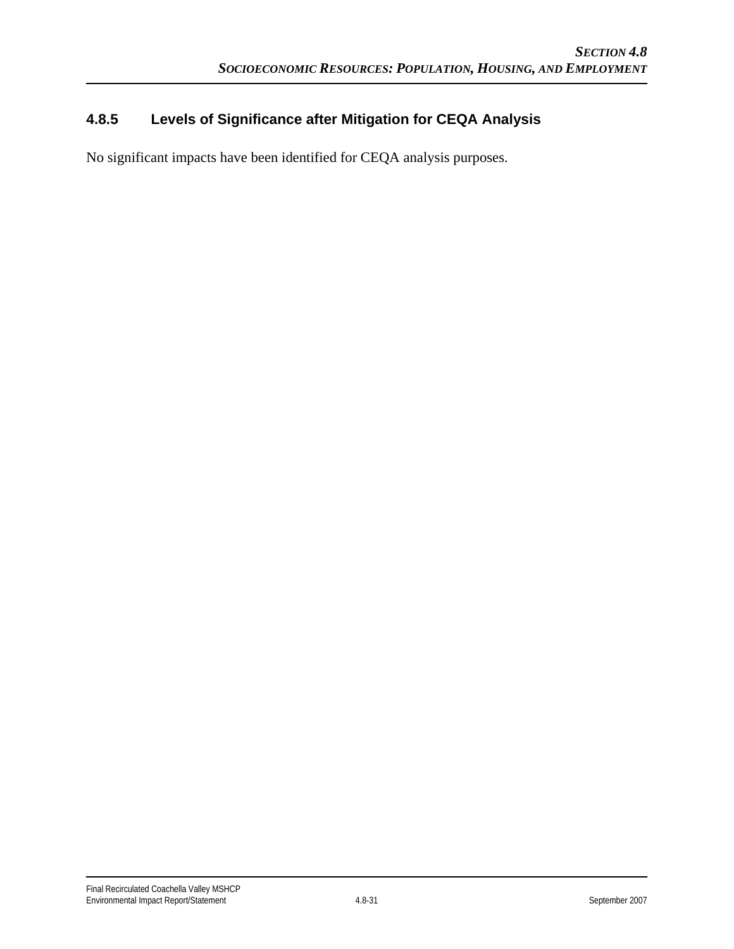### **4.8.5 Levels of Significance after Mitigation for CEQA Analysis**

No significant impacts have been identified for CEQA analysis purposes.